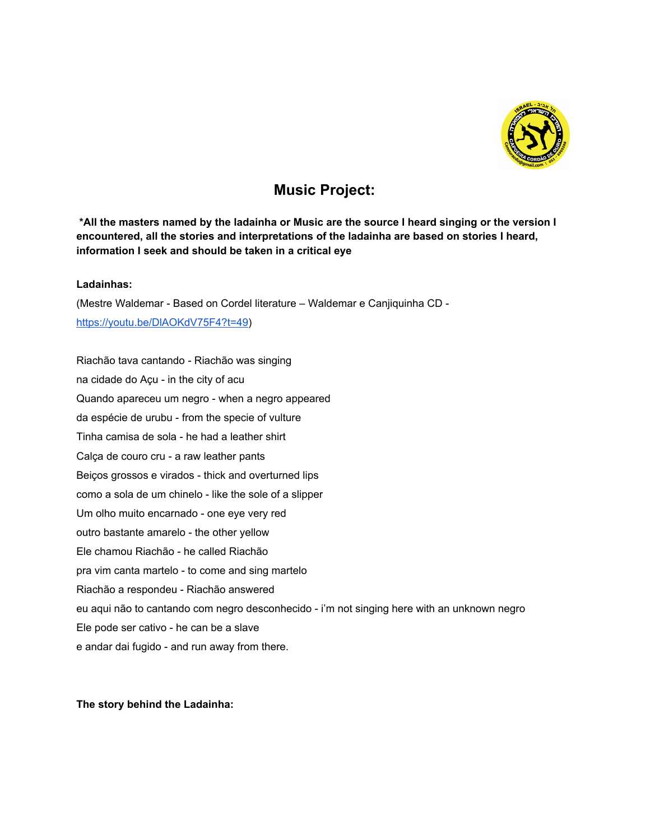

## **Music Project:**

\*All the masters named by the ladainha or Music are the source I heard singing or the version I **encountered, all the stories and interpretations of the ladainha are based on stories I heard, information I seek and should be taken in a critical eye**

## **Ladainhas:**

(Mestre Waldemar - Based on Cordel literature – Waldemar e Canjiquinha CD [https://youtu.be/DlAOKdV75F4?t=49\)](https://youtu.be/DlAOKdV75F4?t=49)

Riachão tava cantando - Riachão was singing na cidade do Açu - in the city of acu Quando apareceu um negro - when a negro appeared da espécie de urubu - from the specie of vulture Tinha camisa de sola - he had a leather shirt Calça de couro cru - a raw leather pants Beiços grossos e virados - thick and overturned lips como a sola de um chinelo - like the sole of a slipper Um olho muito encarnado - one eye very red outro bastante amarelo - the other yellow Ele chamou Riachão - he called Riachão pra vim canta martelo - to come and sing martelo Riachão a respondeu - Riachão answered eu aqui não to cantando com negro desconhecido - i'm not singing here with an unknown negro Ele pode ser cativo - he can be a slave e andar dai fugido - and run away from there.

## **The story behind the Ladainha:**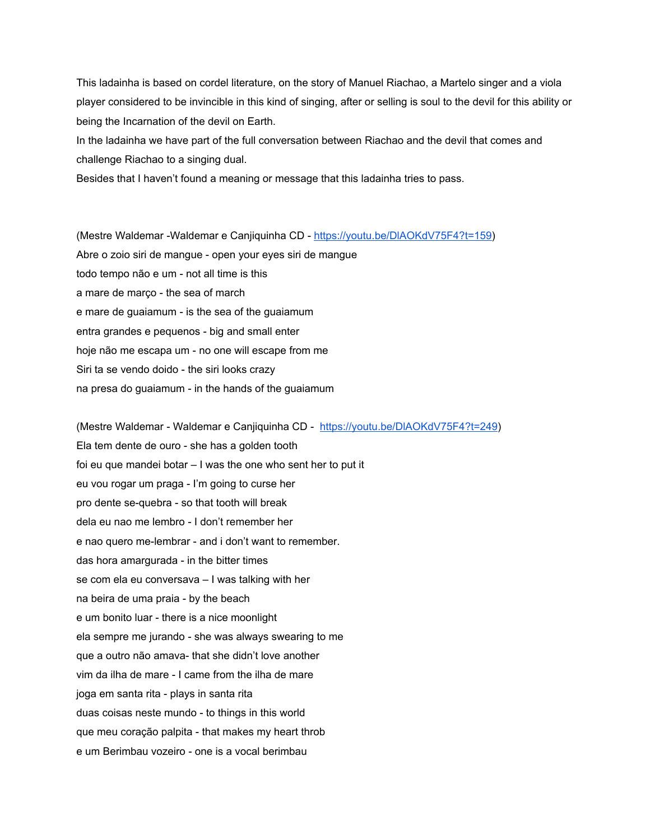This ladainha is based on cordel literature, on the story of Manuel Riachao, a Martelo singer and a viola player considered to be invincible in this kind of singing, after or selling is soul to the devil for this ability or being the Incarnation of the devil on Earth.

In the ladainha we have part of the full conversation between Riachao and the devil that comes and challenge Riachao to a singing dual.

Besides that I haven't found a meaning or message that this ladainha tries to pass.

(Mestre Waldemar -Waldemar e Canjiquinha CD - [https://youtu.be/DlAOKdV75F4?t=159\)](https://youtu.be/DlAOKdV75F4?t=159) Abre o zoio siri de mangue - open your eyes siri de mangue todo tempo não e um - not all time is this a mare de março - the sea of march e mare de guaiamum - is the sea of the guaiamum entra grandes e pequenos - big and small enter hoje não me escapa um - no one will escape from me Siri ta se vendo doido - the siri looks crazy na presa do guaiamum - in the hands of the guaiamum

(Mestre Waldemar - Waldemar e Canjiquinha CD - [https://youtu.be/DlAOKdV75F4?t=249\)](https://youtu.be/DlAOKdV75F4?t=249) Ela tem dente de ouro - she has a golden tooth foi eu que mandei botar – I was the one who sent her to put it eu vou rogar um praga - I'm going to curse her pro dente se-quebra - so that tooth will break dela eu nao me lembro - I don't remember her e nao quero me-lembrar - and i don't want to remember. das hora amargurada - in the bitter times se com ela eu conversava – I was talking with her na beira de uma praia - by the beach e um bonito luar - there is a nice moonlight ela sempre me jurando - she was always swearing to me que a outro não amava- that she didn't love another vim da ilha de mare - I came from the ilha de mare joga em santa rita - plays in santa rita duas coisas neste mundo - to things in this world que meu coração palpita - that makes my heart throb e um Berimbau vozeiro - one is a vocal berimbau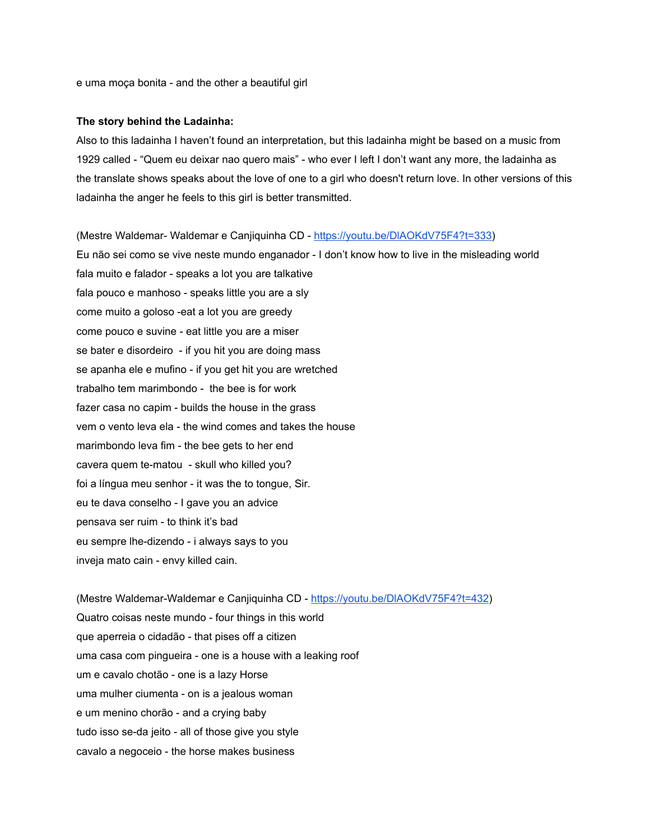e uma moça bonita - and the other a beautiful girl

#### **The story behind the Ladainha:**

Also to this ladainha I haven't found an interpretation, but this ladainha might be based on a music from 1929 called - "Quem eu deixar nao quero mais" - who ever I left I don't want any more, the ladainha as the translate shows speaks about the love of one to a girl who doesn't return love. In other versions of this ladainha the anger he feels to this girl is better transmitted.

(Mestre Waldemar- Waldemar e Canjiquinha CD - [https://youtu.be/DlAOKdV75F4?t=333\)](https://youtu.be/DlAOKdV75F4?t=333) Eu não sei como se vive neste mundo enganador - I don't know how to live in the misleading world fala muito e falador - speaks a lot you are talkative fala pouco e manhoso - speaks little you are a sly come muito a goloso -eat a lot you are greedy come pouco e suvine - eat little you are a miser se bater e disordeiro - if you hit you are doing mass se apanha ele e mufino - if you get hit you are wretched trabalho tem marimbondo - the bee is for work fazer casa no capim - builds the house in the grass vem o vento leva ela - the wind comes and takes the house marimbondo leva fim - the bee gets to her end cavera quem te-matou - skull who killed you? foi a língua meu senhor - it was the to tongue, Sir. eu te dava conselho - I gave you an advice pensava ser ruim - to think it's bad eu sempre lhe-dizendo - i always says to you inveja mato cain - envy killed cain.

(Mestre Waldemar-Waldemar e Canjiquinha CD - <https://youtu.be/DlAOKdV75F4?t=432>) Quatro coisas neste mundo - four things in this world que aperreia o cidadão - that pises off a citizen uma casa com pingueira - one is a house with a leaking roof um e cavalo chotão - one is a lazy Horse uma mulher ciumenta - on is a jealous woman e um menino chorão - and a crying baby tudo isso se-da jeito - all of those give you style cavalo a negoceio - the horse makes business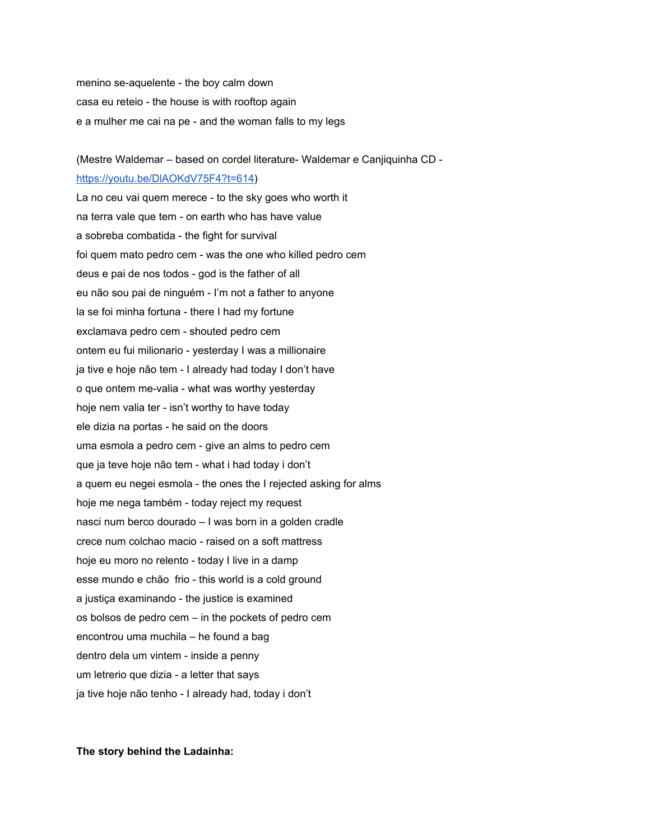menino se-aquelente - the boy calm down casa eu reteio - the house is with rooftop again e a mulher me cai na pe - and the woman falls to my legs

## (Mestre Waldemar – based on cordel literature- Waldemar e Canjiquinha CD <https://youtu.be/DlAOKdV75F4?t=614>)

La no ceu vai quem merece - to the sky goes who worth it na terra vale que tem - on earth who has have value a sobreba combatida - the fight for survival foi quem mato pedro cem - was the one who killed pedro cem deus e pai de nos todos - god is the father of all eu não sou pai de ninguém - I'm not a father to anyone la se foi minha fortuna - there I had my fortune exclamava pedro cem - shouted pedro cem ontem eu fui milionario - yesterday I was a millionaire ja tive e hoje não tem - I already had today I don't have o que ontem me-valia - what was worthy yesterday hoje nem valia ter - isn't worthy to have today ele dizia na portas - he said on the doors uma esmola a pedro cem - give an alms to pedro cem que ja teve hoje não tem - what i had today i don't a quem eu negei esmola - the ones the I rejected asking for alms hoje me nega também - today reject my request nasci num berco dourado – I was born in a golden cradle crece num colchao macio - raised on a soft mattress hoje eu moro no relento - today I live in a damp esse mundo e chão frio - this world is a cold ground a justiça examinando - the justice is examined os bolsos de pedro cem – in the pockets of pedro cem encontrou uma muchila – he found a bag dentro dela um vintem - inside a penny um letrerio que dizia - a letter that says ja tive hoje não tenho - I already had, today i don't

**The story behind the Ladainha:**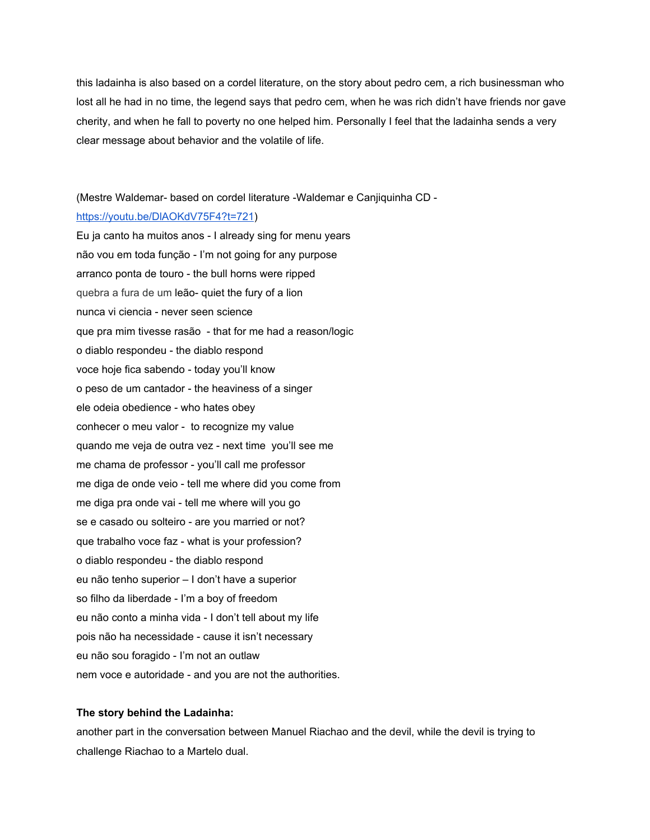this ladainha is also based on a cordel literature, on the story about pedro cem, a rich businessman who lost all he had in no time, the legend says that pedro cem, when he was rich didn't have friends nor gave cherity, and when he fall to poverty no one helped him. Personally I feel that the ladainha sends a very clear message about behavior and the volatile of life.

#### (Mestre Waldemar- based on cordel literature -Waldemar e Canjiquinha CD -

#### <https://youtu.be/DlAOKdV75F4?t=721>)

Eu ja canto ha muitos anos - I already sing for menu years não vou em toda função - I'm not going for any purpose arranco ponta de touro - the bull horns were ripped quebra a fura de um leão- quiet the fury of a lion nunca vi ciencia - never seen science que pra mim tivesse rasão - that for me had a reason/logic o diablo respondeu - the diablo respond voce hoje fica sabendo - today you'll know o peso de um cantador - the heaviness of a singer ele odeia obedience - who hates obey conhecer o meu valor - to recognize my value quando me veja de outra vez - next time you'll see me me chama de professor - you'll call me professor me diga de onde veio - tell me where did you come from me diga pra onde vai - tell me where will you go se e casado ou solteiro - are you married or not? que trabalho voce faz - what is your profession? o diablo respondeu - the diablo respond eu não tenho superior – I don't have a superior so filho da liberdade - I'm a boy of freedom eu não conto a minha vida - I don't tell about my life pois não ha necessidade - cause it isn't necessary eu não sou foragido - I'm not an outlaw nem voce e autoridade - and you are not the authorities.

#### **The story behind the Ladainha:**

another part in the conversation between Manuel Riachao and the devil, while the devil is trying to challenge Riachao to a Martelo dual.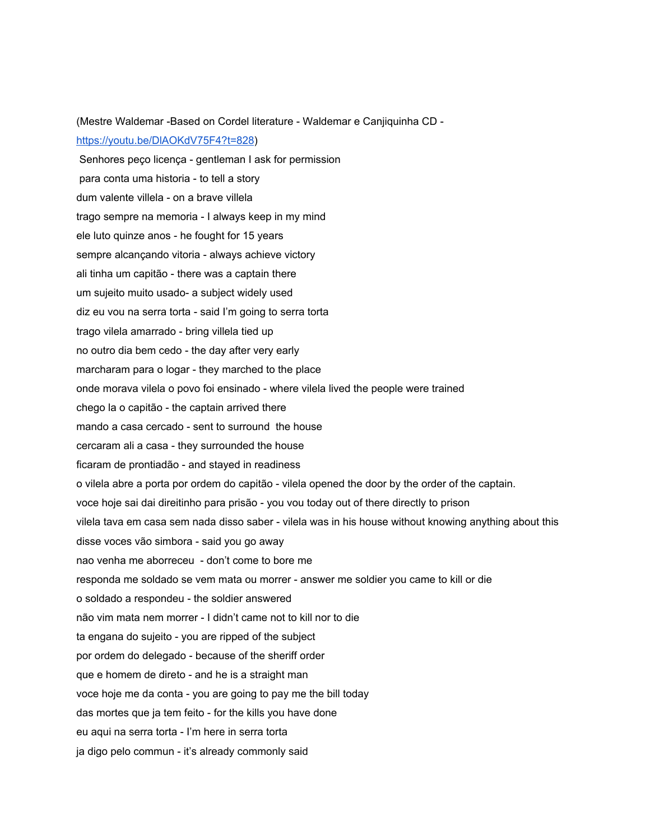(Mestre Waldemar -Based on Cordel literature - Waldemar e Canjiquinha CD <https://youtu.be/DlAOKdV75F4?t=828>)

Senhores peço licença - gentleman I ask for permission para conta uma historia - to tell a story dum valente villela - on a brave villela trago sempre na memoria - I always keep in my mind ele luto quinze anos - he fought for 15 years sempre alcançando vitoria - always achieve victory ali tinha um capitão - there was a captain there um sujeito muito usado- a subject widely used diz eu vou na serra torta - said I'm going to serra torta trago vilela amarrado - bring villela tied up no outro dia bem cedo - the day after very early marcharam para o logar - they marched to the place onde morava vilela o povo foi ensinado - where vilela lived the people were trained chego la o capitão - the captain arrived there mando a casa cercado - sent to surround the house cercaram ali a casa - they surrounded the house ficaram de prontiadão - and stayed in readiness o vilela abre a porta por ordem do capitão - vilela opened the door by the order of the captain. voce hoje sai dai direitinho para prisão - you vou today out of there directly to prison vilela tava em casa sem nada disso saber - vilela was in his house without knowing anything about this disse voces vão simbora - said you go away nao venha me aborreceu - don't come to bore me responda me soldado se vem mata ou morrer - answer me soldier you came to kill or die o soldado a respondeu - the soldier answered não vim mata nem morrer - I didn't came not to kill nor to die ta engana do sujeito - you are ripped of the subject por ordem do delegado - because of the sheriff order que e homem de direto - and he is a straight man voce hoje me da conta - you are going to pay me the bill today das mortes que ja tem feito - for the kills you have done eu aqui na serra torta - I'm here in serra torta ja digo pelo commun - it's already commonly said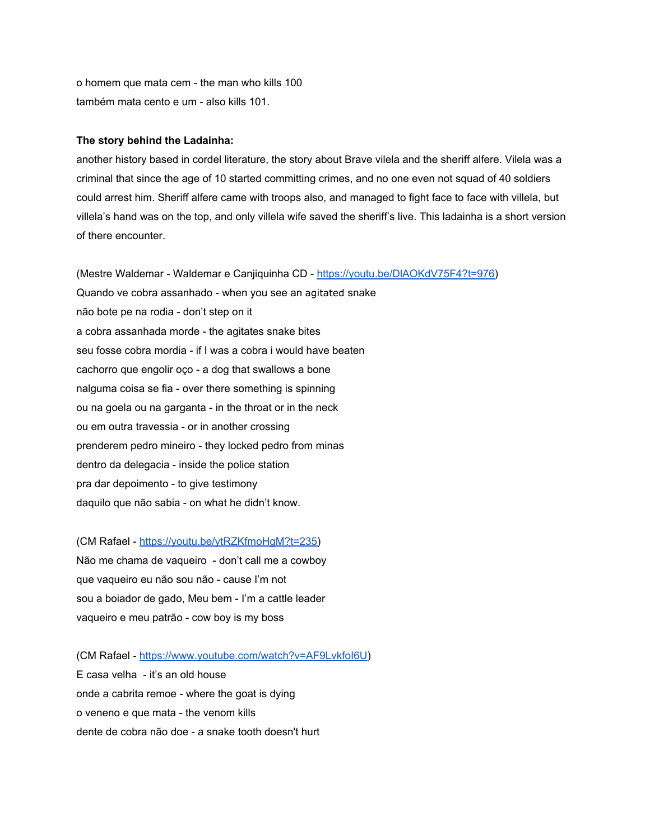o homem que mata cem - the man who kills 100 também mata cento e um - also kills 101.

## **The story behind the Ladainha:**

another history based in cordel literature, the story about Brave vilela and the sheriff alfere. Vilela was a criminal that since the age of 10 started committing crimes, and no one even not squad of 40 soldiers could arrest him. Sheriff alfere came with troops also, and managed to fight face to face with villela, but villela's hand was on the top, and only villela wife saved the sheriff's live. This ladainha is a short version of there encounter.

(Mestre Waldemar - Waldemar e Canjiquinha CD - <https://youtu.be/DlAOKdV75F4?t=976>) Quando ve cobra assanhado - when you see an agitated snake não bote pe na rodia - don't step on it a cobra assanhada morde - the agitates snake bites seu fosse cobra mordia - if I was a cobra i would have beaten cachorro que engolir oço - a dog that swallows a bone nalguma coisa se fia - over there something is spinning ou na goela ou na garganta - in the throat or in the neck ou em outra travessia - or in another crossing prenderem pedro mineiro - they locked pedro from minas dentro da delegacia - inside the police station pra dar depoimento - to give testimony daquilo que não sabia - on what he didn't know.

(CM Rafael - [https://youtu.be/ytRZKfmoHgM?t=235\)](https://youtu.be/ytRZKfmoHgM?t=235) Não me chama de vaqueiro - don't call me a cowboy que vaqueiro eu não sou não - cause I'm not sou a boiador de gado, Meu bem - I'm a cattle leader vaqueiro e meu patrão - cow boy is my boss

(CM Rafael - <https://www.youtube.com/watch?v=AF9LvkfoI6U>) E casa velha - it's an old house onde a cabrita remoe - where the goat is dying o veneno e que mata - the venom kills dente de cobra não doe - a snake tooth doesn't hurt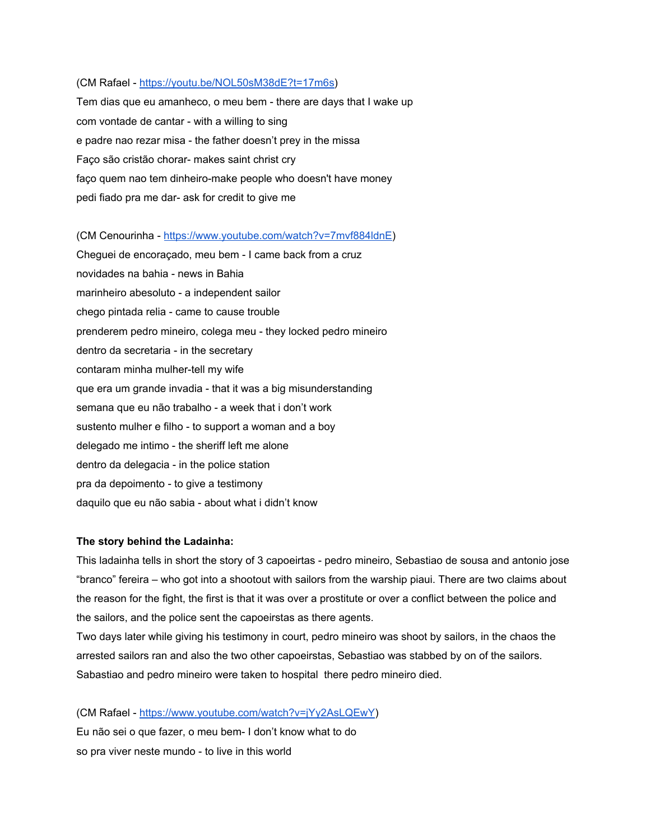#### (CM Rafael - <https://youtu.be/NOL50sM38dE?t=17m6s>)

Tem dias que eu amanheco, o meu bem - there are days that I wake up com vontade de cantar - with a willing to sing e padre nao rezar misa - the father doesn't prey in the missa Faço são cristão chorar- makes saint christ cry faço quem nao tem dinheiro-make people who doesn't have money pedi fiado pra me dar- ask for credit to give me

(CM Cenourinha - [https://www.youtube.com/watch?v=7mvf884ldnE\)](https://www.youtube.com/watch?v=7mvf884ldnE)

Cheguei de encoraçado, meu bem - I came back from a cruz novidades na bahia - news in Bahia marinheiro abesoluto - a independent sailor chego pintada relia - came to cause trouble prenderem pedro mineiro, colega meu - they locked pedro mineiro dentro da secretaria - in the secretary contaram minha mulher-tell my wife que era um grande invadia - that it was a big misunderstanding semana que eu não trabalho - a week that i don't work sustento mulher e filho - to support a woman and a boy delegado me intimo - the sheriff left me alone dentro da delegacia - in the police station pra da depoimento - to give a testimony daquilo que eu não sabia - about what i didn't know

#### **The story behind the Ladainha:**

This ladainha tells in short the story of 3 capoeirtas - pedro mineiro, Sebastiao de sousa and antonio jose "branco" fereira – who got into a shootout with sailors from the warship piaui. There are two claims about the reason for the fight, the first is that it was over a prostitute or over a conflict between the police and the sailors, and the police sent the capoeirstas as there agents.

Two days later while giving his testimony in court, pedro mineiro was shoot by sailors, in the chaos the arrested sailors ran and also the two other capoeirstas, Sebastiao was stabbed by on of the sailors. Sabastiao and pedro mineiro were taken to hospital there pedro mineiro died.

(CM Rafael - <https://www.youtube.com/watch?v=jYy2AsLQEwY>) Eu não sei o que fazer, o meu bem- I don't know what to do so pra viver neste mundo - to live in this world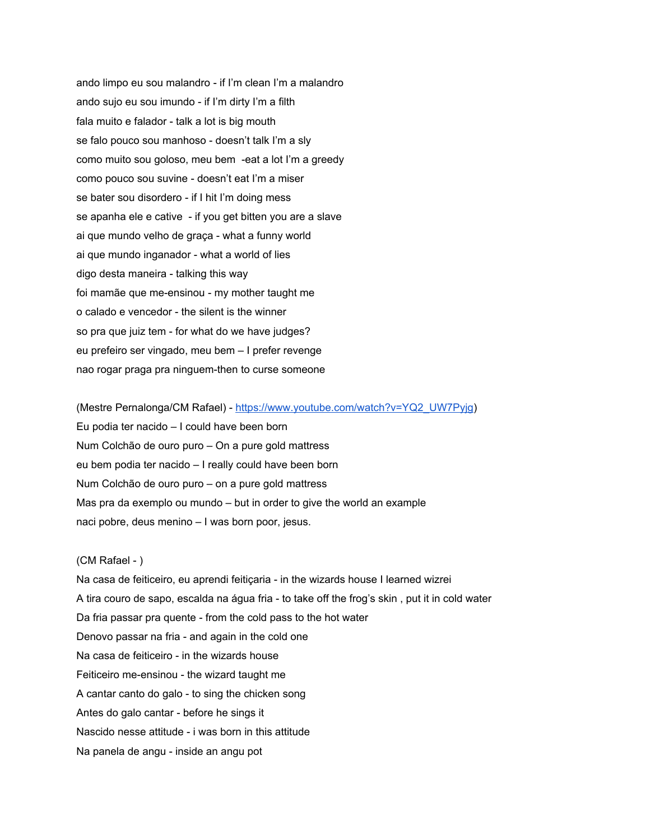ando limpo eu sou malandro - if I'm clean I'm a malandro ando sujo eu sou imundo - if I'm dirty I'm a filth fala muito e falador - talk a lot is big mouth se falo pouco sou manhoso - doesn't talk I'm a sly como muito sou goloso, meu bem -eat a lot I'm a greedy como pouco sou suvine - doesn't eat I'm a miser se bater sou disordero - if I hit I'm doing mess se apanha ele e cative - if you get bitten you are a slave ai que mundo velho de graça - what a funny world ai que mundo inganador - what a world of lies digo desta maneira - talking this way foi mamãe que me-ensinou - my mother taught me o calado e vencedor - the silent is the winner so pra que juiz tem - for what do we have judges? eu prefeiro ser vingado, meu bem – I prefer revenge nao rogar praga pra ninguem-then to curse someone

(Mestre Pernalonga/CM Rafael) [-](https://www.youtube.com/watch?v=YQ2_UW7Pyjg) [https://www.youtube.com/watch?v=YQ2\\_UW7Pyjg](https://www.youtube.com/watch?v=YQ2_UW7Pyjg)) Eu podia ter nacido – I could have been born Num Colchão de ouro puro – On a pure gold mattress eu bem podia ter nacido – I really could have been born Num Colchão de ouro puro – on a pure gold mattress Mas pra da exemplo ou mundo – but in order to give the world an example naci pobre, deus menino – I was born poor, jesus.

## (CM Rafael - )

Na casa de feiticeiro, eu aprendi feitiçaria - in the wizards house I learned wizrei A tira couro de sapo, escalda na água fria - to take off the frog's skin , put it in cold water Da fria passar pra quente - from the cold pass to the hot water Denovo passar na fria - and again in the cold one Na casa de feiticeiro - in the wizards house Feiticeiro me-ensinou - the wizard taught me A cantar canto do galo - to sing the chicken song Antes do galo cantar - before he sings it Nascido nesse attitude - i was born in this attitude Na panela de angu - inside an angu pot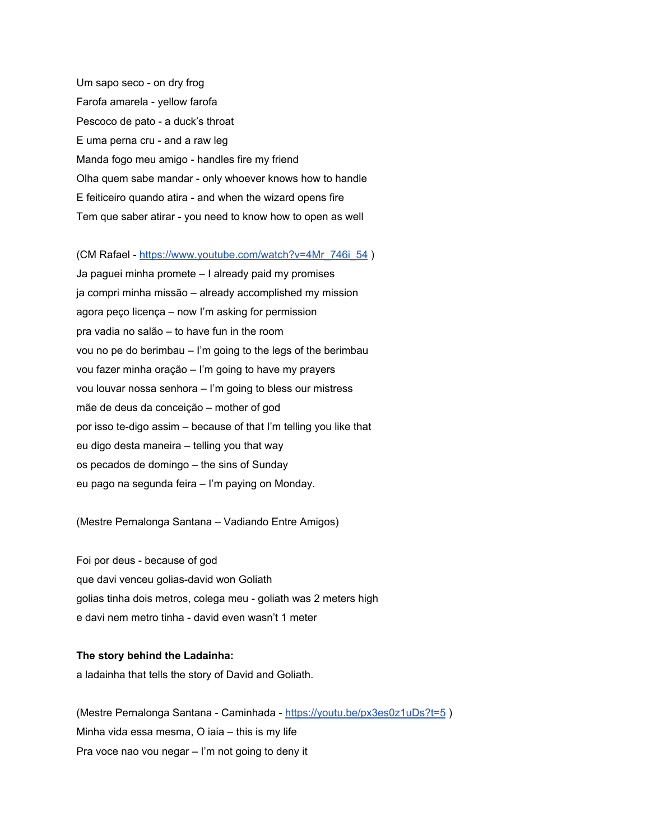Um sapo seco - on dry frog Farofa amarela - yellow farofa Pescoco de pato - a duck's throat E uma perna cru - and a raw leg Manda fogo meu amigo - handles fire my friend Olha quem sabe mandar - only whoever knows how to handle E feiticeiro quando atira - and when the wizard opens fire Tem que saber atirar - you need to know how to open as well

(CM Rafael - [https://www.youtube.com/watch?v=4Mr\\_746i\\_54](https://www.youtube.com/watch?v=4Mr_746i_54) )

Ja paguei minha promete – I already paid my promises ja compri minha missão – already accomplished my mission agora peço licença – now I'm asking for permission pra vadia no salão – to have fun in the room vou no pe do berimbau – I'm going to the legs of the berimbau vou fazer minha oração – I'm going to have my prayers vou louvar nossa senhora – I'm going to bless our mistress mãe de deus da conceição – mother of god por isso te-digo assim – because of that I'm telling you like that eu digo desta maneira – telling you that way os pecados de domingo – the sins of Sunday eu pago na segunda feira – I'm paying on Monday.

(Mestre Pernalonga Santana – Vadiando Entre Amigos)

Foi por deus - because of god que davi venceu golias-david won Goliath golias tinha dois metros, colega meu - goliath was 2 meters high e davi nem metro tinha - david even wasn't 1 meter

## **The story behind the Ladainha:**

a ladainha that tells the story of David and Goliath.

(Mestre Pernalonga Santana - Caminhada - <https://youtu.be/px3es0z1uDs?t=5> ) Minha vida essa mesma, O iaia – this is my life Pra voce nao vou negar – I'm not going to deny it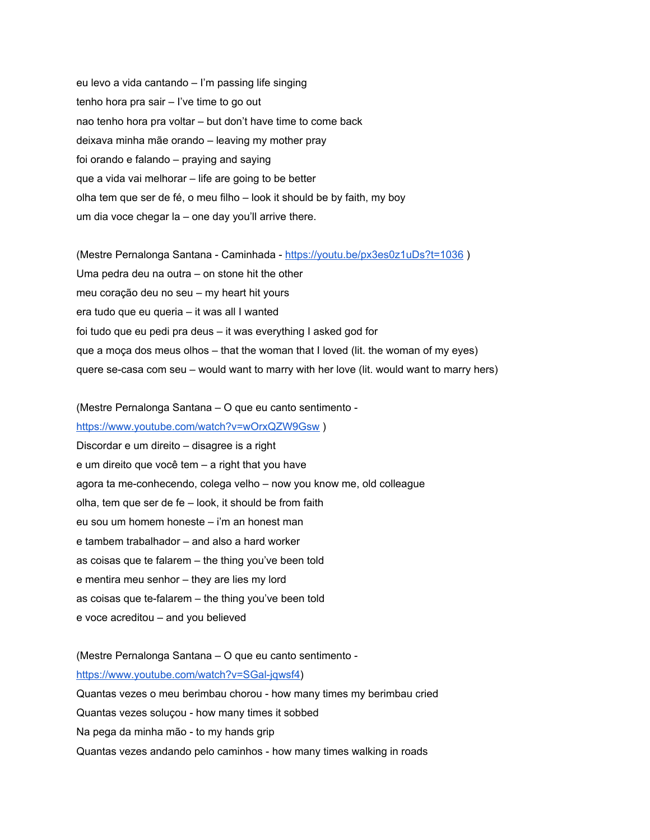eu levo a vida cantando – I'm passing life singing tenho hora pra sair – I've time to go out nao tenho hora pra voltar – but don't have time to come back deixava minha mãe orando – leaving my mother pray foi orando e falando – praying and saying que a vida vai melhorar – life are going to be better olha tem que ser de fé, o meu filho – look it should be by faith, my boy um dia voce chegar la – one day you'll arrive there.

(Mestre Pernalonga Santana - Caminhada - <https://youtu.be/px3es0z1uDs?t=1036> ) Uma pedra deu na outra – on stone hit the other meu coração deu no seu – my heart hit yours era tudo que eu queria – it was all I wanted foi tudo que eu pedi pra deus – it was everything I asked god for que a moça dos meus olhos – that the woman that I loved (lit. the woman of my eyes) quere se-casa com seu – would want to marry with her love (lit. would want to marry hers)

(Mestre Pernalonga Santana – O que eu canto sentimento -

<https://www.youtube.com/watch?v=wOrxQZW9Gsw> ) Discordar e um direito – disagree is a right e um direito que você tem – a right that you have agora ta me-conhecendo, colega velho – now you know me, old colleague olha, tem que ser de fe – look, it should be from faith eu sou um homem honeste – i'm an honest man e tambem trabalhador – and also a hard worker as coisas que te falarem – the thing you've been told e mentira meu senhor – they are lies my lord as coisas que te-falarem – the thing you've been told e voce acreditou – and you believed

(Mestre Pernalonga Santana – O que eu canto sentimento [https://www.youtube.com/watch?v=SGal-jqwsf4\)](https://www.youtube.com/watch?v=SGal-jqwsf4) Quantas vezes o meu berimbau chorou - how many times my berimbau cried Quantas vezes soluçou - how many times it sobbed Na pega da minha mão - to my hands grip Quantas vezes andando pelo caminhos - how many times walking in roads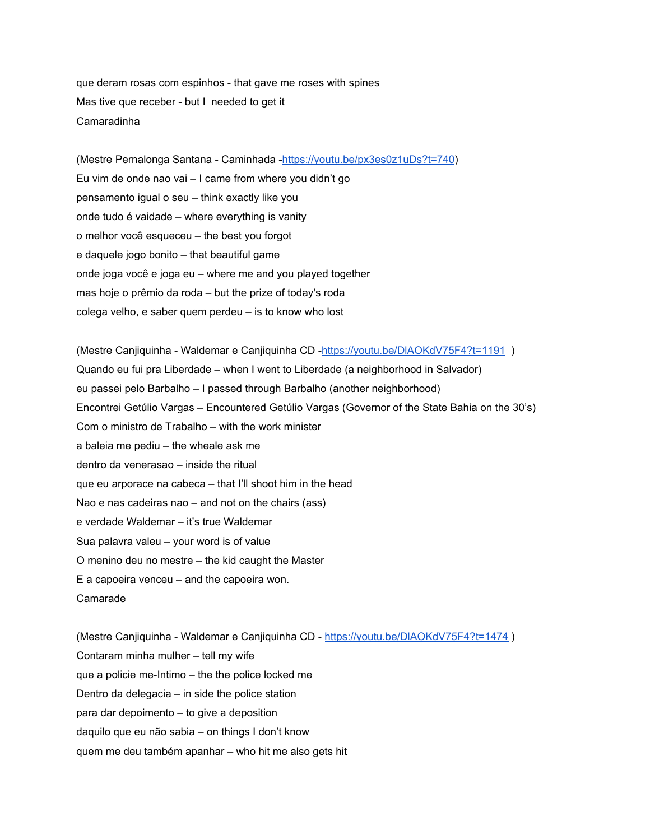que deram rosas com espinhos - that gave me roses with spines Mas tive que receber - but I needed to get it Camaradinha

(Mestre Pernalonga Santana - Caminhada -<https://youtu.be/px3es0z1uDs?t=740>) Eu vim de onde nao vai – I came from where you didn't go pensamento igual o seu – think exactly like you onde tudo é vaidade – where everything is vanity o melhor você esqueceu – the best you forgot e daquele jogo bonito – that beautiful game onde joga você e joga eu – where me and you played together mas hoje o prêmio da roda – but the prize of today's roda colega velho, e saber quem perdeu – is to know who lost

(Mestre Canjiquinha - Waldemar e Canjiquinha CD [-https://youtu.be/DlAOKdV75F4?t=1191](https://youtu.be/DlAOKdV75F4?t=1191) ) Quando eu fui pra Liberdade – when I went to Liberdade (a neighborhood in Salvador) eu passei pelo Barbalho – I passed through Barbalho (another neighborhood) Encontrei Getúlio Vargas – Encountered Getúlio Vargas (Governor of the State Bahia on the 30's) Com o ministro de Trabalho – with the work minister a baleia me pediu – the wheale ask me dentro da venerasao – inside the ritual que eu arporace na cabeca – that I'll shoot him in the head Nao e nas cadeiras nao – and not on the chairs (ass) e verdade Waldemar – it's true Waldemar Sua palavra valeu – your word is of value O menino deu no mestre – the kid caught the Master E a capoeira venceu – and the capoeira won. Camarade

(Mestre Canjiquinha - Waldemar e Canjiquinha CD - <https://youtu.be/DlAOKdV75F4?t=1474> ) Contaram minha mulher – tell my wife que a policie me-Intimo – the the police locked me Dentro da delegacia – in side the police station para dar depoimento – to give a deposition daquilo que eu não sabia – on things I don't know quem me deu também apanhar – who hit me also gets hit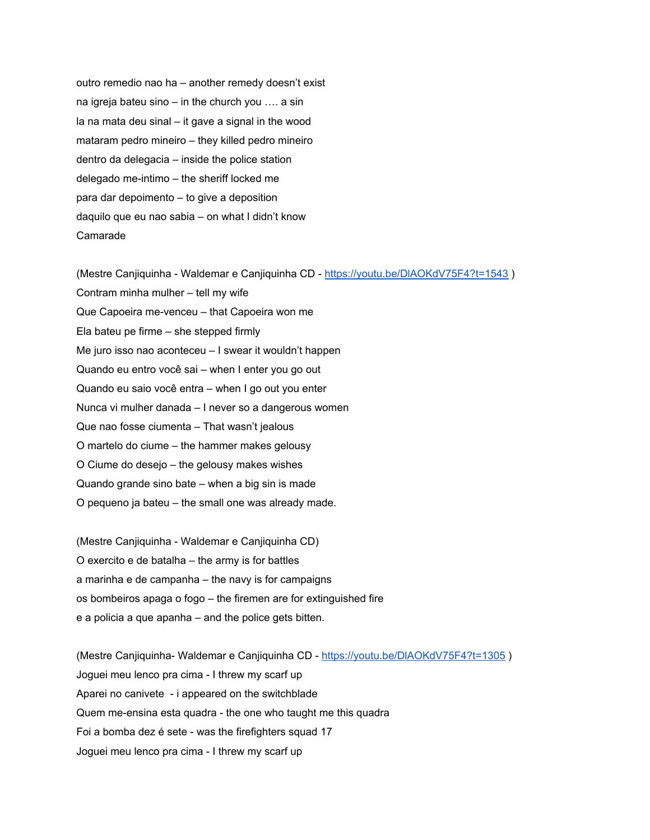outro remedio nao ha – another remedy doesn't exist na igreja bateu sino – in the church you …. a sin la na mata deu sinal – it gave a signal in the wood mataram pedro mineiro – they killed pedro mineiro dentro da delegacia – inside the police station delegado me-intimo – the sheriff locked me para dar depoimento – to give a deposition daquilo que eu nao sabia – on what I didn't know Camarade

(Mestre Canjiquinha - Waldemar e Canjiquinha CD - <https://youtu.be/DlAOKdV75F4?t=1543> )

Contram minha mulher – tell my wife

Que Capoeira me-venceu – that Capoeira won me

Ela bateu pe firme – she stepped firmly

Me juro isso nao aconteceu – I swear it wouldn't happen

Quando eu entro você sai – when I enter you go out

Quando eu saio você entra – when I go out you enter

Nunca vi mulher danada – I never so a dangerous women

Que nao fosse ciumenta – That wasn't jealous

O martelo do ciume – the hammer makes gelousy

O Ciume do desejo – the gelousy makes wishes

Quando grande sino bate – when a big sin is made

O pequeno ja bateu – the small one was already made.

(Mestre Canjiquinha - Waldemar e Canjiquinha CD) O exercito e de batalha – the army is for battles a marinha e de campanha – the navy is for campaigns os bombeiros apaga o fogo – the firemen are for extinguished fire e a policia a que apanha – and the police gets bitten.

(Mestre Canjiquinha- Waldemar e Canjiquinha CD - <https://youtu.be/DlAOKdV75F4?t=1305> ) Joguei meu lenco pra cima - I threw my scarf up Aparei no canivete - i appeared on the switchblade Quem me-ensina esta quadra - the one who taught me this quadra Foi a bomba dez é sete - was the firefighters squad 17 Joguei meu lenco pra cima - I threw my scarf up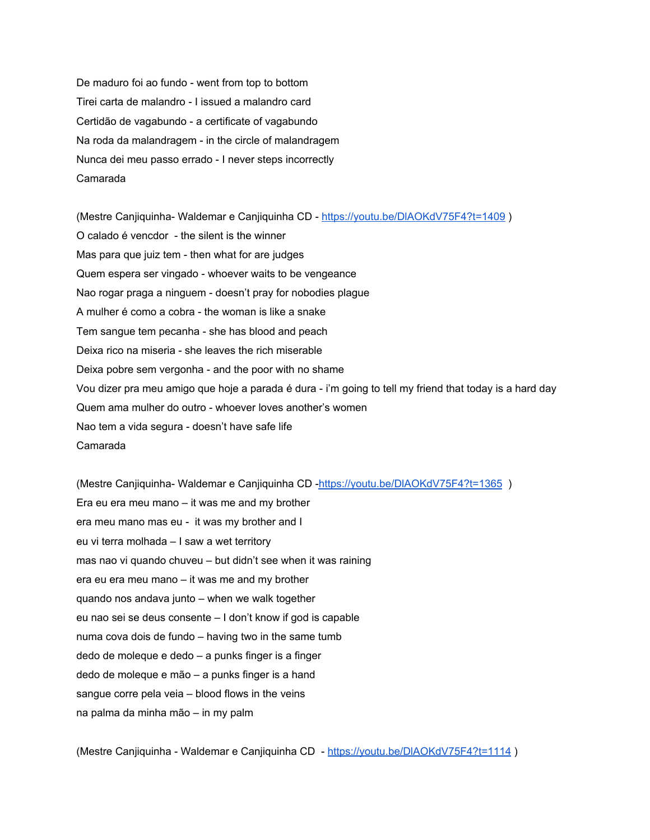De maduro foi ao fundo - went from top to bottom Tirei carta de malandro - I issued a malandro card Certidão de vagabundo - a certificate of vagabundo Na roda da malandragem - in the circle of malandragem Nunca dei meu passo errado - I never steps incorrectly Camarada

(Mestre Canjiquinha- Waldemar e Canjiquinha CD - <https://youtu.be/DlAOKdV75F4?t=1409> ) O calado é vencdor - the silent is the winner Mas para que juiz tem - then what for are judges Quem espera ser vingado - whoever waits to be vengeance Nao rogar praga a ninguem - doesn't pray for nobodies plague A mulher é como a cobra - the woman is like a snake Tem sangue tem pecanha - she has blood and peach Deixa rico na miseria - she leaves the rich miserable Deixa pobre sem vergonha - and the poor with no shame Vou dizer pra meu amigo que hoje a parada é dura - i'm going to tell my friend that today is a hard day Quem ama mulher do outro - whoever loves another's women Nao tem a vida segura - doesn't have safe life Camarada

(Mestre Canjiquinha- Waldemar e Canjiquinha CD [-https://youtu.be/DlAOKdV75F4?t=1365](https://youtu.be/DlAOKdV75F4?t=1365) ) Era eu era meu mano – it was me and my brother era meu mano mas eu - it was my brother and I eu vi terra molhada – I saw a wet territory mas nao vi quando chuveu – but didn't see when it was raining era eu era meu mano – it was me and my brother quando nos andava junto – when we walk together eu nao sei se deus consente – I don't know if god is capable numa cova dois de fundo – having two in the same tumb dedo de moleque e dedo – a punks finger is a finger dedo de moleque e mão – a punks finger is a hand sangue corre pela veia – blood flows in the veins na palma da minha mão – in my palm

(Mestre Canjiquinha - Waldemar e Canjiquinha CD - <https://youtu.be/DlAOKdV75F4?t=1114> )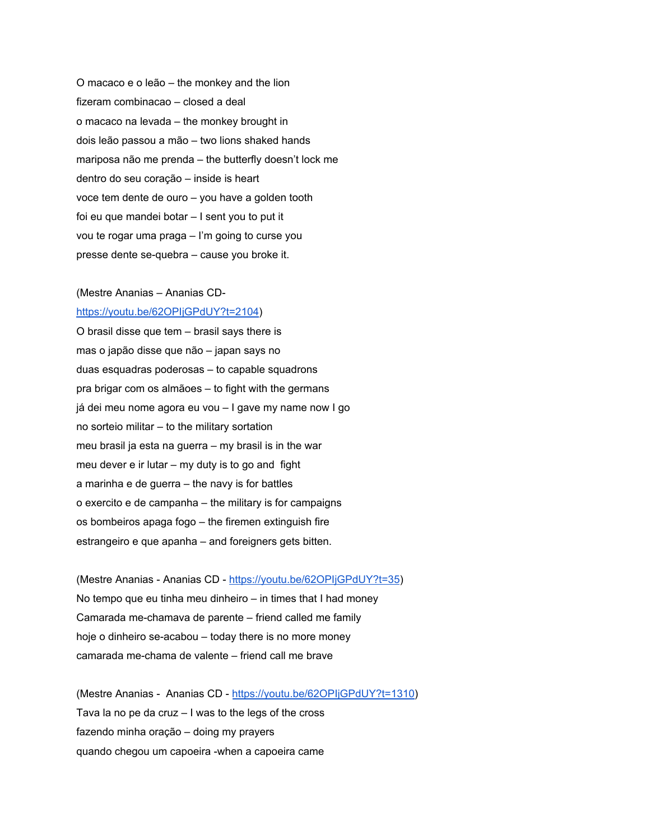O macaco e o leão – the monkey and the lion fizeram combinacao – closed a deal o macaco na levada – the monkey brought in dois leão passou a mão – two lions shaked hands mariposa não me prenda – the butterfly doesn't lock me dentro do seu coração – inside is heart voce tem dente de ouro – you have a golden tooth foi eu que mandei botar – I sent you to put it vou te rogar uma praga – I'm going to curse you presse dente se-quebra – cause you broke it.

#### (Mestre Ananias – Ananias CD-

[https://youtu.be/62OPIjGPdUY?t=2104\)](https://youtu.be/62OPIjGPdUY?t=2104)

O brasil disse que tem – brasil says there is mas o japão disse que não – japan says no duas esquadras poderosas – to capable squadrons pra brigar com os almãoes – to fight with the germans já dei meu nome agora eu vou – I gave my name now I go no sorteio militar – to the military sortation meu brasil ja esta na guerra – my brasil is in the war meu dever e ir lutar – my duty is to go and fight a marinha e de guerra – the navy is for battles o exercito e de campanha – the military is for campaigns os bombeiros apaga fogo – the firemen extinguish fire estrangeiro e que apanha – and foreigners gets bitten.

(Mestre Ananias - Ananias CD - <https://youtu.be/62OPIjGPdUY?t=35>) No tempo que eu tinha meu dinheiro – in times that I had money Camarada me-chamava de parente – friend called me family hoje o dinheiro se-acabou – today there is no more money camarada me-chama de valente – friend call me brave

(Mestre Ananias - Ananias CD - [https://youtu.be/62OPIjGPdUY?t=1310\)](https://youtu.be/62OPIjGPdUY?t=1310) Tava la no pe da cruz – I was to the legs of the cross fazendo minha oração – doing my prayers quando chegou um capoeira -when a capoeira came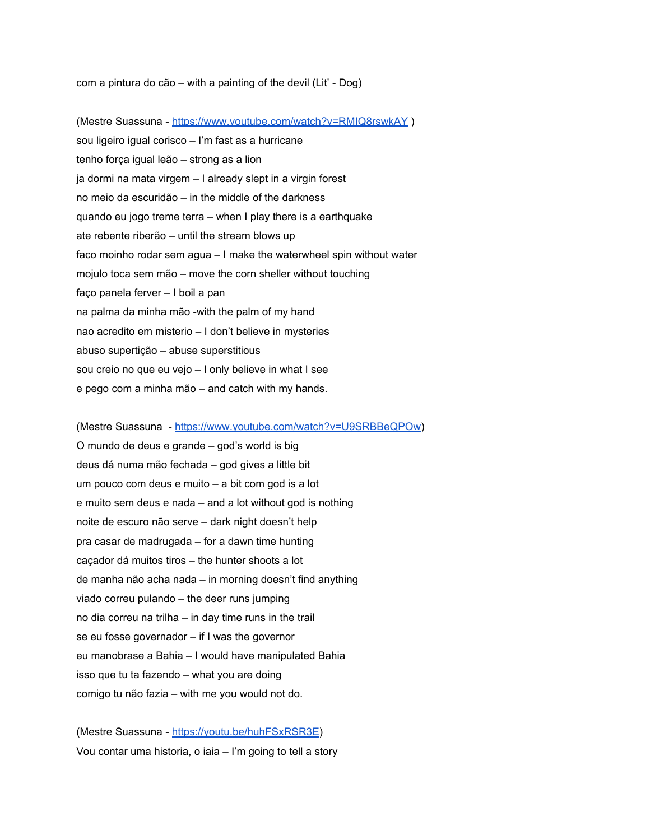com a pintura do cão – with a painting of the devil (Lit' - Dog)

(Mestre Suassuna [-](https://www.youtube.com/watch?v=RMIQ8rswkAY) <https://www.youtube.com/watch?v=RMIQ8rswkAY> ) sou ligeiro igual corisco – I'm fast as a hurricane tenho força igual leão – strong as a lion ja dormi na mata virgem – I already slept in a virgin forest no meio da escuridão – in the middle of the darkness quando eu jogo treme terra – when I play there is a earthquake ate rebente riberão – until the stream blows up faco moinho rodar sem agua – I make the waterwheel spin without water mojulo toca sem mão – move the corn sheller without touching faço panela ferver – I boil a pan na palma da minha mão -with the palm of my hand nao acredito em misterio – I don't believe in mysteries abuso supertição – abuse superstitious sou creio no que eu vejo – I only believe in what I see e pego com a minha mão – and catch with my hands.

(Mestre Suassuna - [https://www.youtube.com/watch?v=U9SRBBeQPOw\)](https://www.youtube.com/watch?v=U9SRBBeQPOw) O mundo de deus e grande – god's world is big deus dá numa mão fechada – god gives a little bit um pouco com deus e muito – a bit com god is a lot e muito sem deus e nada – and a lot without god is nothing noite de escuro não serve – dark night doesn't help pra casar de madrugada – for a dawn time hunting

caçador dá muitos tiros – the hunter shoots a lot

de manha não acha nada – in morning doesn't find anything

viado correu pulando – the deer runs jumping

no dia correu na trilha – in day time runs in the trail

se eu fosse governador – if I was the governor

eu manobrase a Bahia – I would have manipulated Bahia

isso que tu ta fazendo – what you are doing

comigo tu não fazia – with me you would not do.

(Mestre Suassuna - [https://youtu.be/huhFSxRSR3E\)](https://youtu.be/huhFSxRSR3E) Vou contar uma historia, o iaia – I'm going to tell a story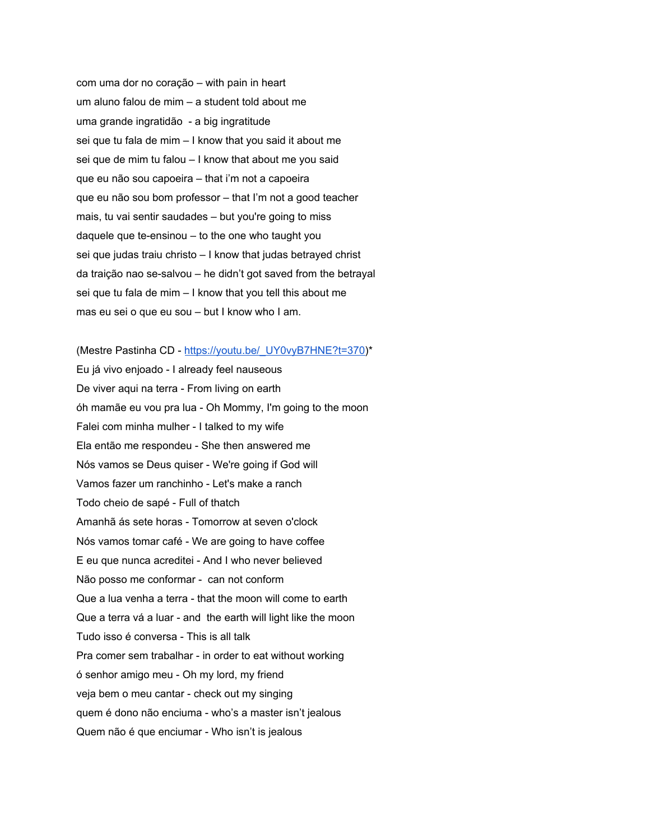com uma dor no coração – with pain in heart um aluno falou de mim – a student told about me uma grande ingratidão - a big ingratitude sei que tu fala de mim – I know that you said it about me sei que de mim tu falou – I know that about me you said que eu não sou capoeira – that i'm not a capoeira que eu não sou bom professor – that I'm not a good teacher mais, tu vai sentir saudades – but you're going to miss daquele que te-ensinou – to the one who taught you sei que judas traiu christo – I know that judas betrayed christ da traição nao se-salvou – he didn't got saved from the betrayal sei que tu fala de mim – I know that you tell this about me mas eu sei o que eu sou – but I know who I am.

(Mestre Pastinha CD - [https://youtu.be/\\_UY0vyB7HNE?t=370\)](https://youtu.be/_UY0vyB7HNE?t=370)\* Eu já vivo enjoado - I already feel nauseous De viver aqui na terra - From living on earth óh mamãe eu vou pra lua - Oh Mommy, I'm going to the moon Falei com minha mulher - I talked to my wife Ela então me respondeu - She then answered me Nós vamos se Deus quiser - We're going if God will Vamos fazer um ranchinho - Let's make a ranch Todo cheio de sapé - Full of thatch Amanhã ás sete horas - Tomorrow at seven o'clock Nós vamos tomar café - We are going to have coffee E eu que nunca acreditei - And I who never believed Não posso me conformar - can not conform Que a lua venha a terra - that the moon will come to earth Que a terra vá a luar - and the earth will light like the moon Tudo isso é conversa - This is all talk Pra comer sem trabalhar - in order to eat without working ó senhor amigo meu - Oh my lord, my friend veja bem o meu cantar - check out my singing quem é dono não enciuma - who's a master isn't jealous Quem não é que enciumar - Who isn't is jealous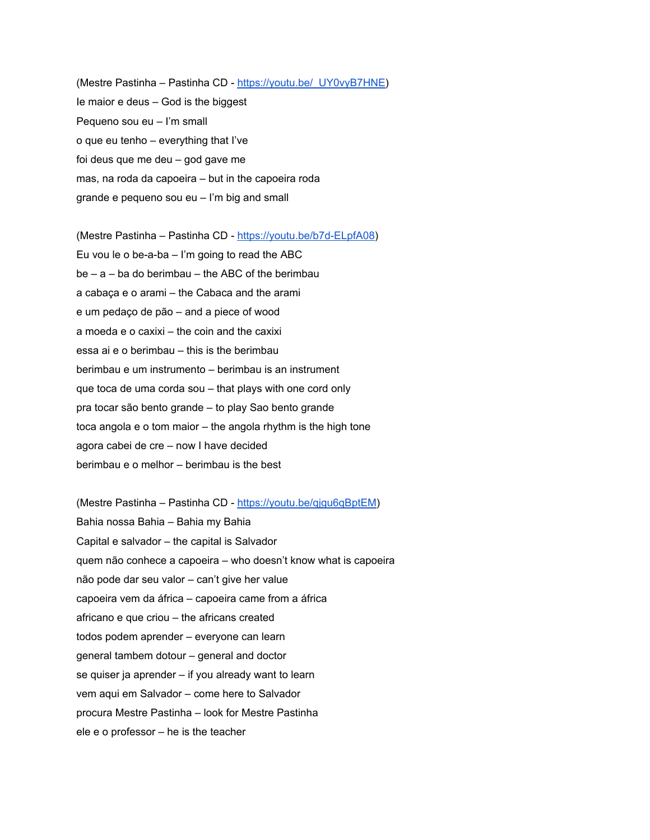(Mestre Pastinha – Pastinha CD - [https://youtu.be/\\_UY0vyB7HNE](https://youtu.be/_UY0vyB7HNE)) Ie maior e deus – God is the biggest Pequeno sou eu – I'm small o que eu tenho – everything that I've foi deus que me deu – god gave me mas, na roda da capoeira – but in the capoeira roda grande e pequeno sou eu – I'm big and small

(Mestre Pastinha – Pastinha CD - <https://youtu.be/b7d-ELpfA08>) Eu vou le o be-a-ba – I'm going to read the ABC  $be - a - ba$  do berimbau – the ABC of the berimbau a cabaça e o arami – the Cabaca and the arami e um pedaço de pão – and a piece of wood a moeda e o caxixi – the coin and the caxixi essa ai e o berimbau – this is the berimbau berimbau e um instrumento – berimbau is an instrument que toca de uma corda sou – that plays with one cord only pra tocar são bento grande – to play Sao bento grande toca angola e o tom maior – the angola rhythm is the high tone agora cabei de cre – now I have decided berimbau e o melhor – berimbau is the best

(Mestre Pastinha – Pastinha CD - [https://youtu.be/qjgu6qBptEM\)](https://youtu.be/qjgu6qBptEM) Bahia nossa Bahia – Bahia my Bahia Capital e salvador – the capital is Salvador quem não conhece a capoeira – who doesn't know what is capoeira não pode dar seu valor – can't give her value capoeira vem da áfrica – capoeira came from a áfrica africano e que criou – the africans created todos podem aprender – everyone can learn general tambem dotour – general and doctor se quiser ja aprender – if you already want to learn vem aqui em Salvador – come here to Salvador procura Mestre Pastinha – look for Mestre Pastinha ele e o professor – he is the teacher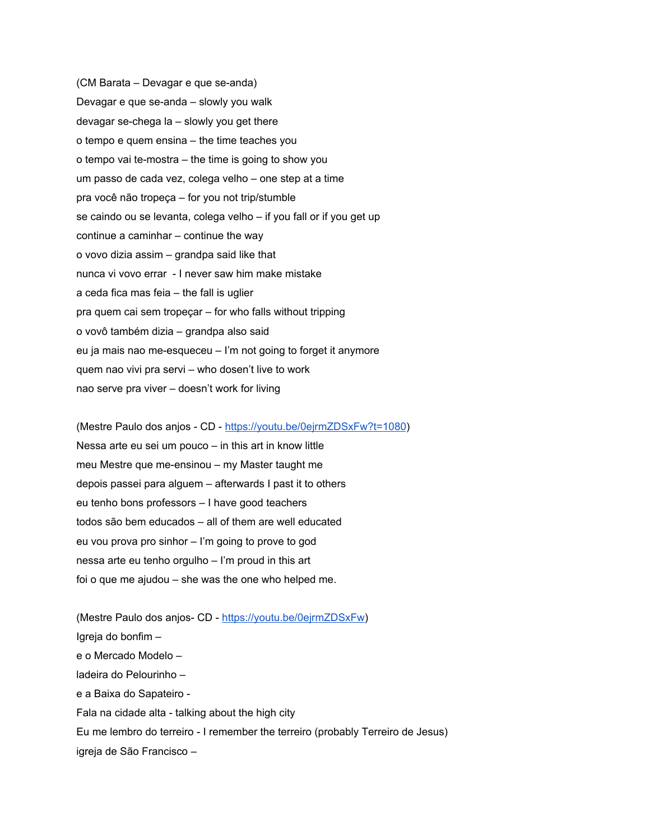(CM Barata – Devagar e que se-anda) Devagar e que se-anda – slowly you walk devagar se-chega la – slowly you get there o tempo e quem ensina – the time teaches you o tempo vai te-mostra – the time is going to show you um passo de cada vez, colega velho – one step at a time pra você não tropeça – for you not trip/stumble se caindo ou se levanta, colega velho – if you fall or if you get up continue a caminhar – continue the way o vovo dizia assim – grandpa said like that nunca vi vovo errar - I never saw him make mistake a ceda fica mas feia – the fall is uglier pra quem cai sem tropeçar – for who falls without tripping o vovô também dizia – grandpa also said eu ja mais nao me-esqueceu – I'm not going to forget it anymore quem nao vivi pra servi – who dosen't live to work nao serve pra viver – doesn't work for living

(Mestre Paulo dos anjos - CD - <https://youtu.be/0ejrmZDSxFw?t=1080>) Nessa arte eu sei um pouco – in this art in know little meu Mestre que me-ensinou – my Master taught me depois passei para alguem – afterwards I past it to others eu tenho bons professors – I have good teachers todos são bem educados – all of them are well educated eu vou prova pro sinhor – I'm going to prove to god nessa arte eu tenho orgulho – I'm proud in this art foi o que me ajudou – she was the one who helped me.

(Mestre Paulo dos anjos- CD - [https://youtu.be/0ejrmZDSxFw\)](https://youtu.be/0ejrmZDSxFw) Igreja do bonfim – e o Mercado Modelo – ladeira do Pelourinho – e a Baixa do Sapateiro - Fala na cidade alta - talking about the high city Eu me lembro do terreiro - I remember the terreiro (probably Terreiro de Jesus) igreja de São Francisco –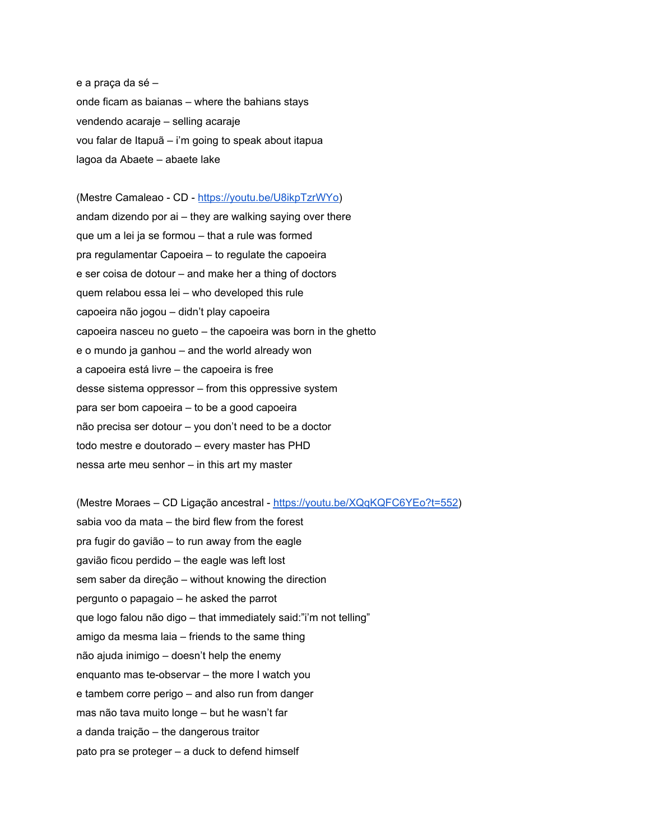e a praça da sé – onde ficam as baianas – where the bahians stays vendendo acaraje – selling acaraje vou falar de Itapuã – i'm going to speak about itapua lagoa da Abaete – abaete lake

(Mestre Camaleao - CD - [https://youtu.be/U8ikpTzrWYo\)](https://youtu.be/U8ikpTzrWYo) andam dizendo por ai – they are walking saying over there que um a lei ja se formou – that a rule was formed pra regulamentar Capoeira – to regulate the capoeira e ser coisa de dotour – and make her a thing of doctors quem relabou essa lei – who developed this rule capoeira não jogou – didn't play capoeira capoeira nasceu no gueto – the capoeira was born in the ghetto e o mundo ja ganhou – and the world already won a capoeira está livre – the capoeira is free desse sistema oppressor – from this oppressive system para ser bom capoeira – to be a good capoeira não precisa ser dotour – you don't need to be a doctor todo mestre e doutorado – every master has PHD nessa arte meu senhor – in this art my master

(Mestre Moraes – CD Ligação ancestral - [https://youtu.be/XQqKQFC6YEo?t=552\)](https://youtu.be/XQqKQFC6YEo?t=552) sabia voo da mata – the bird flew from the forest pra fugir do gavião – to run away from the eagle gavião ficou perdido – the eagle was left lost sem saber da direção – without knowing the direction pergunto o papagaio – he asked the parrot que logo falou não digo – that immediately said:"i'm not telling" amigo da mesma laia – friends to the same thing não ajuda inimigo – doesn't help the enemy enquanto mas te-observar – the more I watch you e tambem corre perigo – and also run from danger mas não tava muito longe – but he wasn't far a danda traição – the dangerous traitor pato pra se proteger – a duck to defend himself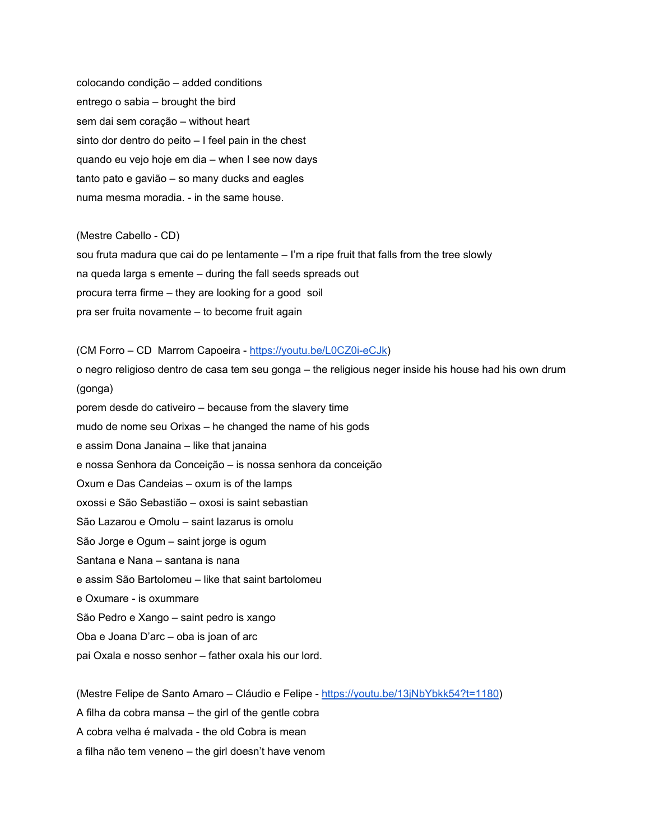colocando condição – added conditions entrego o sabia – brought the bird sem dai sem coração – without heart sinto dor dentro do peito – I feel pain in the chest quando eu vejo hoje em dia – when I see now days tanto pato e gavião – so many ducks and eagles numa mesma moradia. - in the same house.

(Mestre Cabello - CD) sou fruta madura que cai do pe lentamente – I'm a ripe fruit that falls from the tree slowly na queda larga s emente – during the fall seeds spreads out procura terra firme – they are looking for a good soil pra ser fruita novamente – to become fruit again

(CM Forro – CD Marrom Capoeira - <https://youtu.be/L0CZ0i-eCJk>) o negro religioso dentro de casa tem seu gonga – the religious neger inside his house had his own drum (gonga) porem desde do cativeiro – because from the slavery time mudo de nome seu Orixas – he changed the name of his gods e assim Dona Janaina – like that janaina e nossa Senhora da Conceição – is nossa senhora da conceição Oxum e Das Candeias – oxum is of the lamps oxossi e São Sebastião – oxosi is saint sebastian São Lazarou e Omolu – saint lazarus is omolu São Jorge e Ogum – saint jorge is ogum Santana e Nana – santana is nana e assim São Bartolomeu – like that saint bartolomeu e Oxumare - is oxummare São Pedro e Xango – saint pedro is xango Oba e Joana D'arc – oba is joan of arc

pai Oxala e nosso senhor – father oxala his our lord.

(Mestre Felipe de Santo Amaro – Cláudio e Felipe - <https://youtu.be/13jNbYbkk54?t=1180>)

A filha da cobra mansa – the girl of the gentle cobra

A cobra velha é malvada - the old Cobra is mean

a filha não tem veneno – the girl doesn't have venom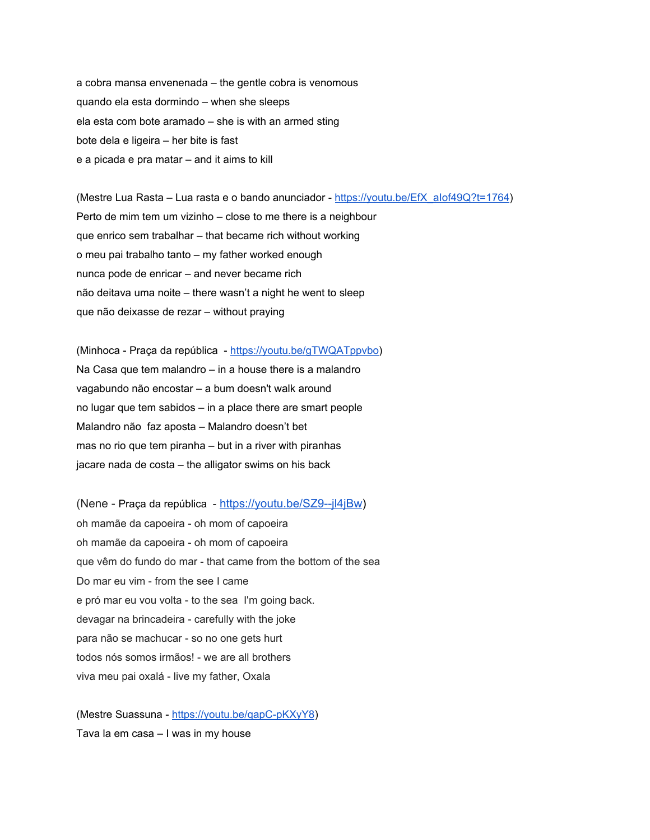a cobra mansa envenenada – the gentle cobra is venomous quando ela esta dormindo – when she sleeps ela esta com bote aramado – she is with an armed sting bote dela e ligeira – her bite is fast e a picada e pra matar – and it aims to kill

(Mestre Lua Rasta – Lua rasta e o bando anunciador - [https://youtu.be/EfX\\_aIof49Q?t=1764](https://youtu.be/EfX_aIof49Q?t=1764)) Perto de mim tem um vizinho – close to me there is a neighbour que enrico sem trabalhar – that became rich without working o meu pai trabalho tanto – my father worked enough nunca pode de enricar – and never became rich não deitava uma noite – there wasn't a night he went to sleep que não deixasse de rezar – without praying

(Minhoca - Praça da república - <https://youtu.be/gTWQATppvbo>) Na Casa que tem malandro – in a house there is a malandro vagabundo não encostar – a bum doesn't walk around no lugar que tem sabidos – in a place there are smart people Malandro não faz aposta – Malandro doesn't bet mas no rio que tem piranha – but in a river with piranhas jacare nada de costa – the alligator swims on his back

(Nene - Praça da república - <https://youtu.be/SZ9--jl4jBw>) oh mamãe da capoeira - oh mom of capoeira oh mamãe da capoeira - oh mom of capoeira que vêm do fundo do mar - that came from the bottom of the sea Do mar eu vim - from the see I came e pró mar eu vou volta - to the sea I'm going back. devagar na brincadeira - carefully with the joke para não se machucar - so no one gets hurt todos nós somos irmãos! - we are all brothers viva meu pai oxalá - live my father, Oxala

(Mestre Suassuna - <https://youtu.be/qapC-pKXyY8>) Tava la em casa – I was in my house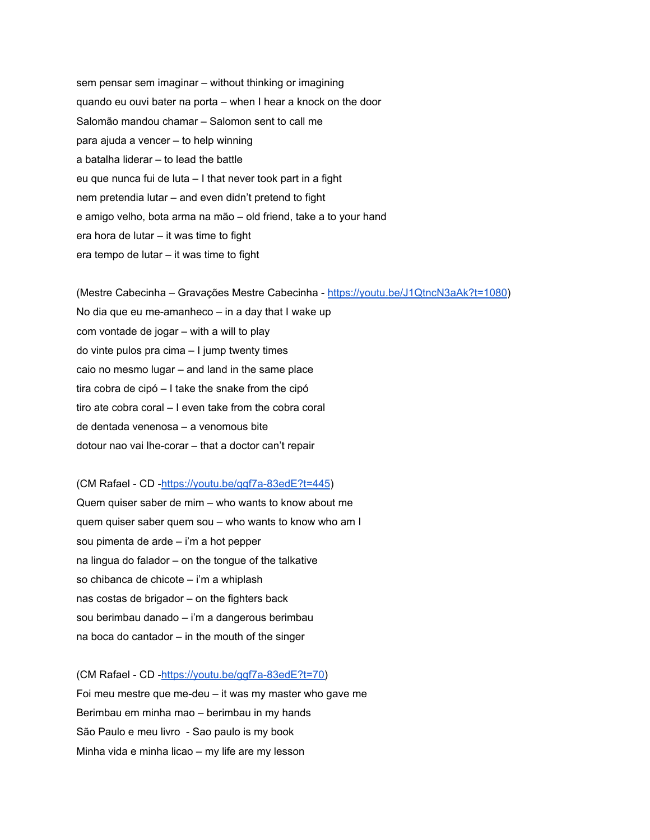sem pensar sem imaginar – without thinking or imagining quando eu ouvi bater na porta – when I hear a knock on the door Salomão mandou chamar – Salomon sent to call me para ajuda a vencer – to help winning a batalha liderar – to lead the battle eu que nunca fui de luta – I that never took part in a fight nem pretendia lutar – and even didn't pretend to fight e amigo velho, bota arma na mão – old friend, take a to your hand era hora de lutar – it was time to fight era tempo de lutar – it was time to fight

(Mestre Cabecinha – Gravações Mestre Cabecinha - [https://youtu.be/J1QtncN3aAk?t=1080\)](https://youtu.be/J1QtncN3aAk?t=1080) No dia que eu me-amanheco – in a day that I wake up com vontade de jogar – with a will to play do vinte pulos pra cima – I jump twenty times caio no mesmo lugar – and land in the same place tira cobra de cipó – I take the snake from the cipó tiro ate cobra coral – I even take from the cobra coral de dentada venenosa – a venomous bite dotour nao vai lhe-corar – that a doctor can't repair

(CM Rafael - CD -<https://youtu.be/ggf7a-83edE?t=445>) Quem quiser saber de mim – who wants to know about me quem quiser saber quem sou – who wants to know who am I sou pimenta de arde – i'm a hot pepper na lingua do falador – on the tongue of the talkative so chibanca de chicote – i'm a whiplash nas costas de brigador – on the fighters back sou berimbau danado – i'm a dangerous berimbau na boca do cantador – in the mouth of the singer

(CM Rafael - CD -[https://youtu.be/ggf7a-83edE?t=70\)](https://youtu.be/ggf7a-83edE?t=70) Foi meu mestre que me-deu – it was my master who gave me Berimbau em minha mao – berimbau in my hands São Paulo e meu livro - Sao paulo is my book Minha vida e minha licao – my life are my lesson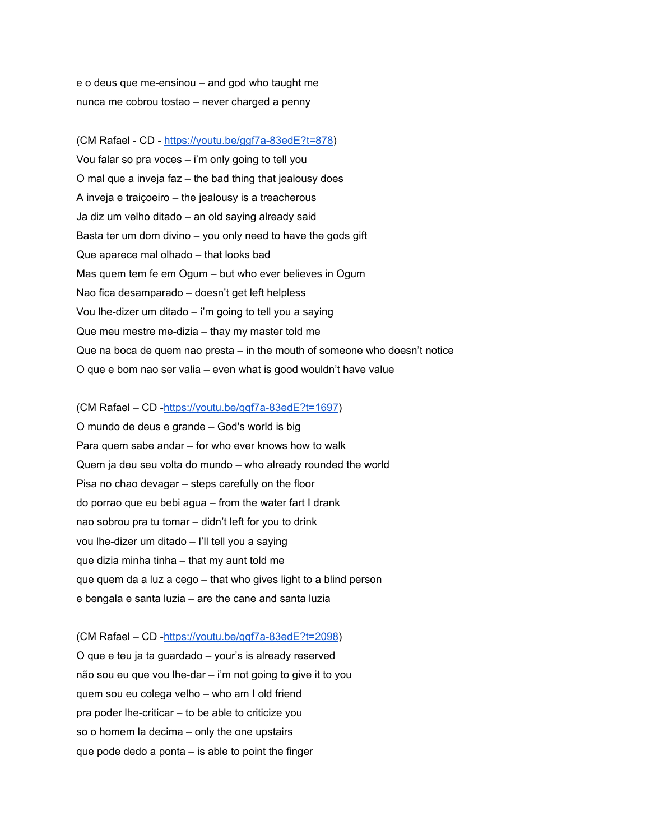e o deus que me-ensinou – and god who taught me nunca me cobrou tostao – never charged a penny

(CM Rafael - CD - [https://youtu.be/ggf7a-83edE?t=878\)](https://youtu.be/ggf7a-83edE?t=878) Vou falar so pra voces – i'm only going to tell you O mal que a inveja faz – the bad thing that jealousy does A inveja e traiçoeiro – the jealousy is a treacherous Ja diz um velho ditado – an old saying already said Basta ter um dom divino – you only need to have the gods gift Que aparece mal olhado – that looks bad Mas quem tem fe em Ogum – but who ever believes in Ogum Nao fica desamparado – doesn't get left helpless Vou lhe-dizer um ditado – i'm going to tell you a saying Que meu mestre me-dizia – thay my master told me Que na boca de quem nao presta – in the mouth of someone who doesn't notice O que e bom nao ser valia – even what is good wouldn't have value

(CM Rafael – CD [-https://youtu.be/ggf7a-83edE?t=1697\)](https://youtu.be/ggf7a-83edE?t=1697)

O mundo de deus e grande – God's world is big Para quem sabe andar – for who ever knows how to walk Quem ja deu seu volta do mundo – who already rounded the world Pisa no chao devagar – steps carefully on the floor do porrao que eu bebi agua – from the water fart I drank nao sobrou pra tu tomar – didn't left for you to drink vou lhe-dizer um ditado – I'll tell you a saying que dizia minha tinha – that my aunt told me que quem da a luz a cego – that who gives light to a blind person e bengala e santa luzia – are the cane and santa luzia

(CM Rafael – CD [-https://youtu.be/ggf7a-83edE?t=2098\)](https://youtu.be/ggf7a-83edE?t=2098) O que e teu ja ta guardado – your's is already reserved não sou eu que vou lhe-dar – i'm not going to give it to you quem sou eu colega velho – who am I old friend pra poder lhe-criticar – to be able to criticize you so o homem la decima – only the one upstairs que pode dedo a ponta – is able to point the finger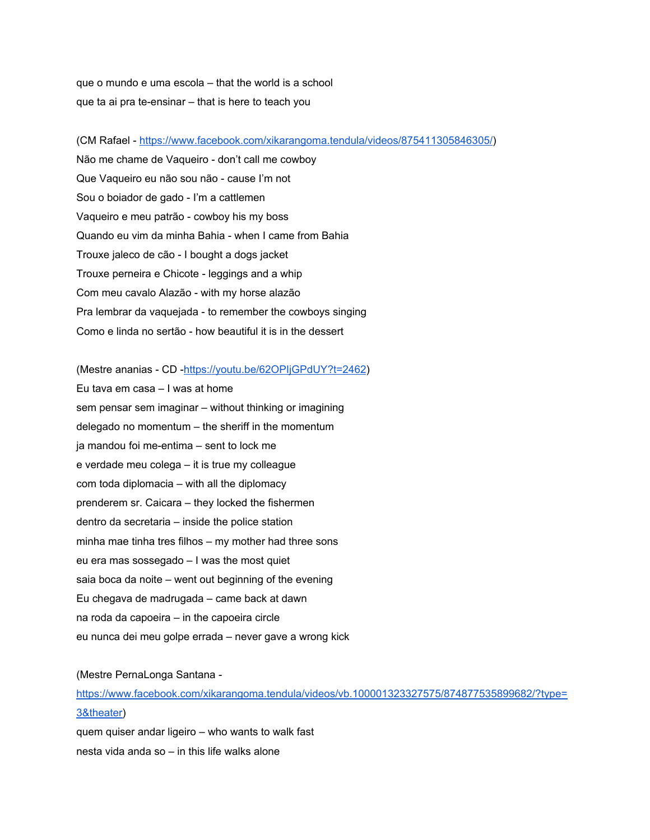que o mundo e uma escola – that the world is a school que ta ai pra te-ensinar – that is here to teach you

(CM Rafael - <https://www.facebook.com/xikarangoma.tendula/videos/875411305846305/>) Não me chame de Vaqueiro - don't call me cowboy Que Vaqueiro eu não sou não - cause I'm not Sou o boiador de gado - I'm a cattlemen Vaqueiro e meu patrão - cowboy his my boss Quando eu vim da minha Bahia - when I came from Bahia Trouxe jaleco de cão - I bought a dogs jacket Trouxe perneira e Chicote - leggings and a whip Com meu cavalo Alazão - with my horse alazão Pra lembrar da vaquejada - to remember the cowboys singing Como e linda no sertão - how beautiful it is in the dessert

(Mestre ananias - CD [-https://youtu.be/62OPIjGPdUY?t=2462](https://youtu.be/62OPIjGPdUY?t=2462)) Eu tava em casa – I was at home sem pensar sem imaginar – without thinking or imagining delegado no momentum – the sheriff in the momentum ja mandou foi me-entima – sent to lock me e verdade meu colega – it is true my colleague com toda diplomacia – with all the diplomacy prenderem sr. Caicara – they locked the fishermen dentro da secretaria – inside the police station minha mae tinha tres filhos – my mother had three sons eu era mas sossegado – I was the most quiet saia boca da noite – went out beginning of the evening Eu chegava de madrugada – came back at dawn na roda da capoeira – in the capoeira circle eu nunca dei meu golpe errada – never gave a wrong kick

#### (Mestre PernaLonga Santana [-](https://www.facebook.com/xikarangoma.tendula/videos/vb.100001323327575/874877535899682/?type=3&theater)

[https://www.facebook.com/xikarangoma.tendula/videos/vb.100001323327575/874877535899682/?type=](https://www.facebook.com/xikarangoma.tendula/videos/vb.100001323327575/874877535899682/?type=3&theater) [3&theater\)](https://www.facebook.com/xikarangoma.tendula/videos/vb.100001323327575/874877535899682/?type=3&theater)

quem quiser andar ligeiro – who wants to walk fast nesta vida anda so – in this life walks alone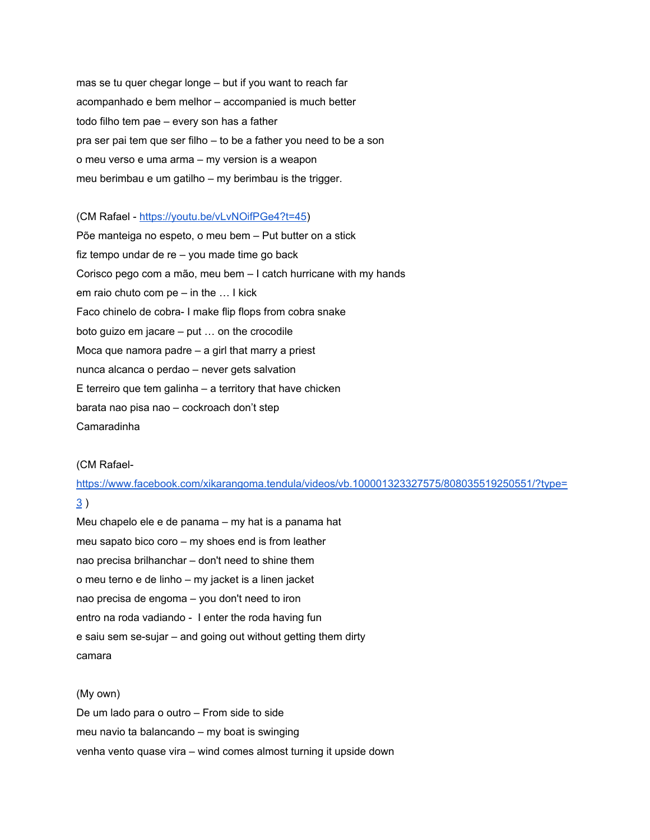mas se tu quer chegar longe – but if you want to reach far acompanhado e bem melhor – accompanied is much better todo filho tem pae – every son has a father pra ser pai tem que ser filho – to be a father you need to be a son o meu verso e uma arma – my version is a weapon meu berimbau e um gatilho – my berimbau is the trigger.

(CM Rafael - [https://youtu.be/vLvNOifPGe4?t=45\)](https://youtu.be/vLvNOifPGe4?t=45)

Põe manteiga no espeto, o meu bem – Put butter on a stick fiz tempo undar de re – you made time go back Corisco pego com a mão, meu bem – I catch hurricane with my hands em raio chuto com pe – in the … I kick Faco chinelo de cobra- I make flip flops from cobra snake boto guizo em jacare – put … on the crocodile Moca que namora padre – a girl that marry a priest nunca alcanca o perdao – never gets salvation E terreiro que tem galinha – a territory that have chicken barata nao pisa nao – cockroach don't step Camaradinha

#### (CM Rafael-

[https://www.facebook.com/xikarangoma.tendula/videos/vb.100001323327575/808035519250551/?type=](https://www.facebook.com/xikarangoma.tendula/videos/vb.100001323327575/808035519250551/?type=3) [3](https://www.facebook.com/xikarangoma.tendula/videos/vb.100001323327575/808035519250551/?type=3) )

Meu chapelo ele e de panama – my hat is a panama hat meu sapato bico coro – my shoes end is from leather nao precisa brilhanchar – don't need to shine them o meu terno e de linho – my jacket is a linen jacket nao precisa de engoma – you don't need to iron entro na roda vadiando - I enter the roda having fun e saiu sem se-sujar – and going out without getting them dirty camara

(My own) De um lado para o outro – From side to side meu navio ta balancando – my boat is swinging venha vento quase vira – wind comes almost turning it upside down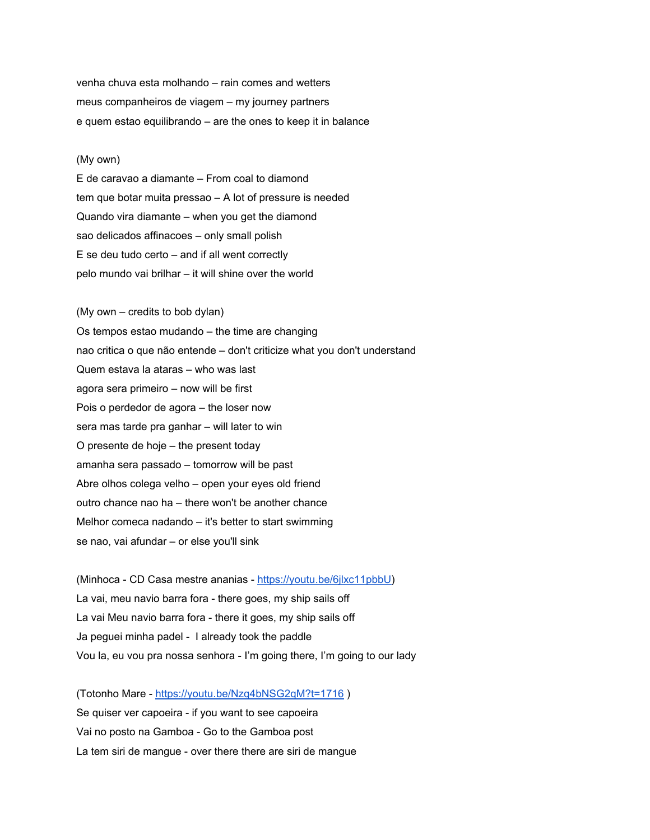venha chuva esta molhando – rain comes and wetters meus companheiros de viagem – my journey partners e quem estao equilibrando – are the ones to keep it in balance

#### (My own)

E de caravao a diamante – From coal to diamond tem que botar muita pressao – A lot of pressure is needed Quando vira diamante – when you get the diamond sao delicados affinacoes – only small polish E se deu tudo certo – and if all went correctly pelo mundo vai brilhar – it will shine over the world

(My own – credits to bob dylan) Os tempos estao mudando – the time are changing nao critica o que não entende – don't criticize what you don't understand Quem estava la ataras – who was last agora sera primeiro – now will be first Pois o perdedor de agora – the loser now sera mas tarde pra ganhar – will later to win O presente de hoje – the present today amanha sera passado – tomorrow will be past Abre olhos colega velho – open your eyes old friend outro chance nao ha – there won't be another chance Melhor comeca nadando – it's better to start swimming se nao, vai afundar – or else you'll sink

(Minhoca - CD Casa mestre ananias - [https://youtu.be/6jlxc11pbbU\)](https://youtu.be/6jlxc11pbbU) La vai, meu navio barra fora - there goes, my ship sails off La vai Meu navio barra fora - there it goes, my ship sails off Ja peguei minha padel - I already took the paddle Vou la, eu vou pra nossa senhora - I'm going there, I'm going to our lady

(Totonho Mare - <https://youtu.be/Nzq4bNSG2qM?t=1716> ) Se quiser ver capoeira - if you want to see capoeira Vai no posto na Gamboa - Go to the Gamboa post La tem siri de mangue - over there there are siri de mangue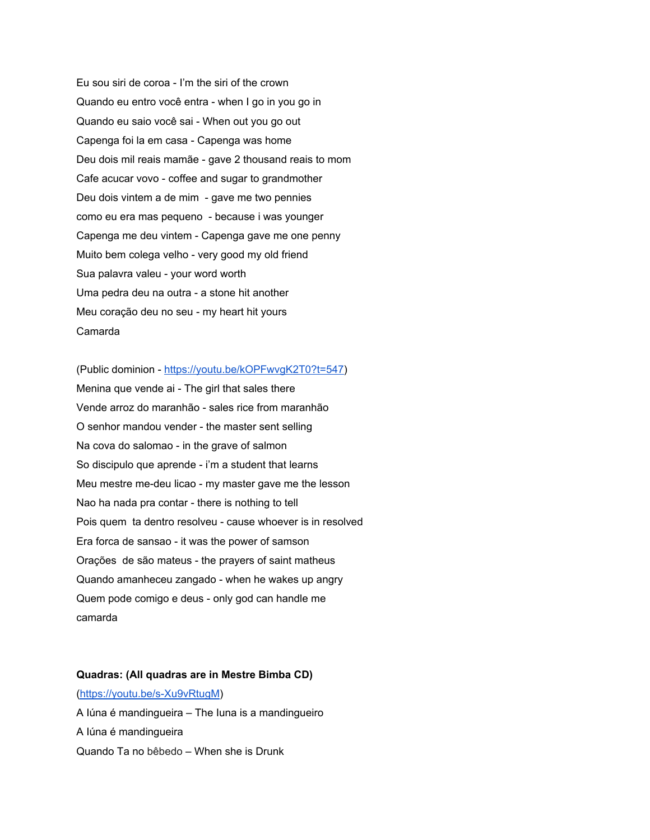Eu sou siri de coroa - I'm the siri of the crown Quando eu entro você entra - when I go in you go in Quando eu saio você sai - When out you go out Capenga foi la em casa - Capenga was home Deu dois mil reais mamãe - gave 2 thousand reais to mom Cafe acucar vovo - coffee and sugar to grandmother Deu dois vintem a de mim - gave me two pennies como eu era mas pequeno - because i was younger Capenga me deu vintem - Capenga gave me one penny Muito bem colega velho - very good my old friend Sua palavra valeu - your word worth Uma pedra deu na outra - a stone hit another Meu coração deu no seu - my heart hit yours Camarda

(Public dominion - [https://youtu.be/kOPFwvgK2T0?t=547\)](https://youtu.be/kOPFwvgK2T0?t=547) Menina que vende ai - The girl that sales there Vende arroz do maranhão - sales rice from maranhão O senhor mandou vender - the master sent selling Na cova do salomao - in the grave of salmon So discipulo que aprende - i'm a student that learns Meu mestre me-deu licao - my master gave me the lesson Nao ha nada pra contar - there is nothing to tell Pois quem ta dentro resolveu - cause whoever is in resolved Era forca de sansao - it was the power of samson Orações de são mateus - the prayers of saint matheus Quando amanheceu zangado - when he wakes up angry Quem pode comigo e deus - only god can handle me camarda

#### **Quadras: (All quadras are in Mestre Bimba CD)**

#### [\(https://youtu.be/s-Xu9vRtugM](https://youtu.be/s-Xu9vRtugM))

A Iúna é mandingueira – The Iuna is a mandingueiro A Iúna é mandingueira Quando Ta no bêbedo – When she is Drunk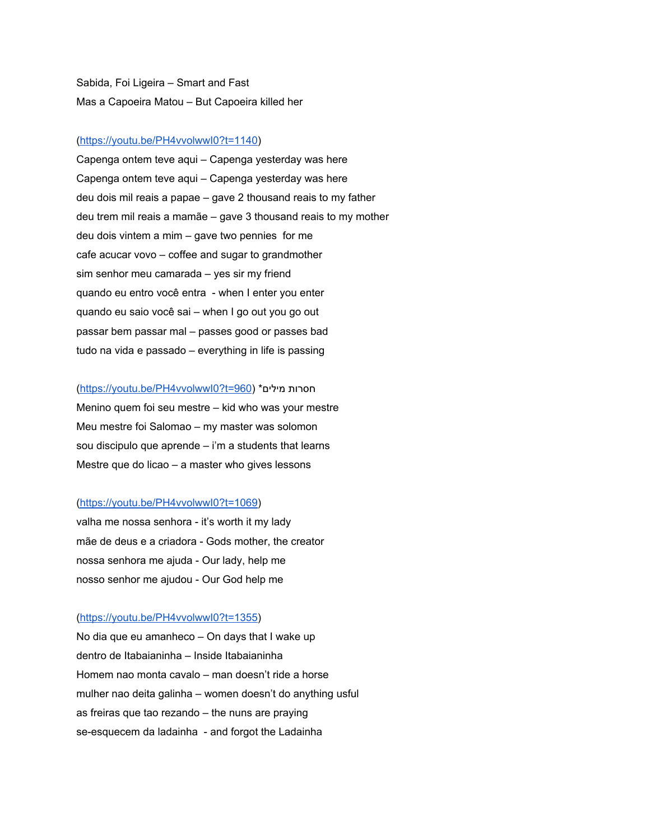Sabida, Foi Ligeira – Smart and Fast Mas a Capoeira Matou – But Capoeira killed her

#### [\(https://youtu.be/PH4vvolwwI0?t=1140\)](https://youtu.be/PH4vvolwwI0?t=1140)

Capenga ontem teve aqui – Capenga yesterday was here Capenga ontem teve aqui – Capenga yesterday was here deu dois mil reais a papae – gave 2 thousand reais to my father deu trem mil reais a mamãe – gave 3 thousand reais to my mother deu dois vintem a mim – gave two pennies for me cafe acucar vovo – coffee and sugar to grandmother sim senhor meu camarada – yes sir my friend quando eu entro você entra - when I enter you enter quando eu saio você sai – when I go out you go out passar bem passar mal – passes good or passes bad tudo na vida e passado – everything in life is passing

## [\(https://youtu.be/PH4vvolwwI0?t=960](https://youtu.be/PH4vvolwwI0?t=960)) \*מילים חסרות Menino quem foi seu mestre – kid who was your mestre Meu mestre foi Salomao – my master was solomon sou discipulo que aprende  $-$  i'm a students that learns Mestre que do licao – a master who gives lessons

#### [\(https://youtu.be/PH4vvolwwI0?t=1069\)](https://youtu.be/PH4vvolwwI0?t=1069)

valha me nossa senhora - it's worth it my lady mãe de deus e a criadora - Gods mother, the creator nossa senhora me ajuda - Our lady, help me nosso senhor me ajudou - Our God help me

#### [\(https://youtu.be/PH4vvolwwI0?t=1355\)](https://youtu.be/PH4vvolwwI0?t=1355)

No dia que eu amanheco – On days that I wake up dentro de Itabaianinha – Inside Itabaianinha Homem nao monta cavalo – man doesn't ride a horse mulher nao deita galinha – women doesn't do anything usful as freiras que tao rezando – the nuns are praying se-esquecem da ladainha - and forgot the Ladainha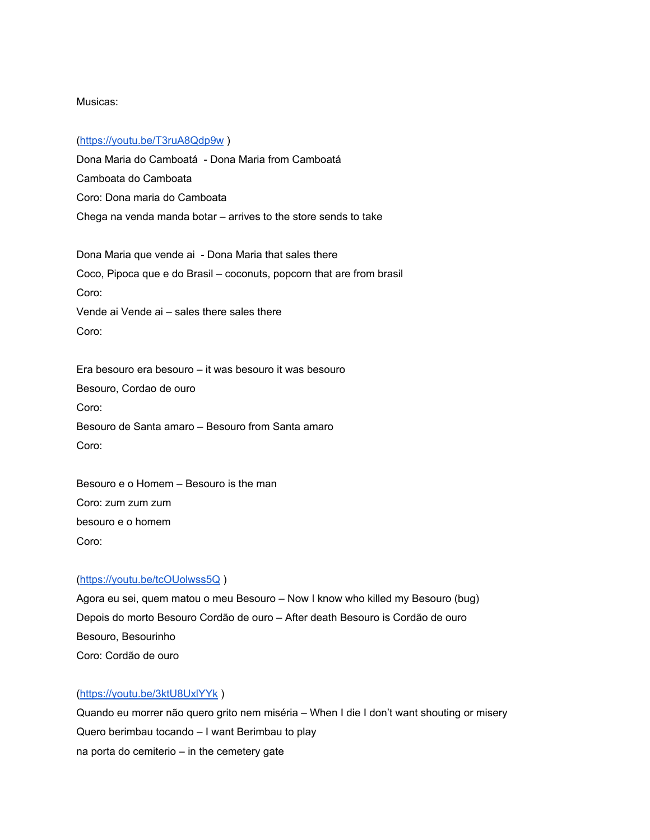## Musicas:

## [\(https://youtu.be/T3ruA8Qdp9w](https://youtu.be/T3ruA8Qdp9w) )

Dona Maria do Camboatá - Dona Maria from Camboatá Camboata do Camboata Coro: Dona maria do Camboata Chega na venda manda botar – arrives to the store sends to take

Dona Maria que vende ai - Dona Maria that sales there Coco, Pipoca que e do Brasil – coconuts, popcorn that are from brasil Coro: Vende ai Vende ai – sales there sales there Coro:

Era besouro era besouro – it was besouro it was besouro Besouro, Cordao de ouro Coro: Besouro de Santa amaro – Besouro from Santa amaro Coro:

Besouro e o Homem – Besouro is the man Coro: zum zum zum besouro e o homem Coro:

## [\(https://youtu.be/tcOUolwss5Q](https://youtu.be/tcOUolwss5Q) )

Agora eu sei, quem matou o meu Besouro – Now I know who killed my Besouro (bug) Depois do morto Besouro Cordão de ouro – After death Besouro is Cordão de ouro Besouro, Besourinho Coro: Cordão de ouro

## [\(https://youtu.be/3ktU8UxlYYk](https://youtu.be/3ktU8UxlYYk) )

Quando eu morrer não quero grito nem miséria – When I die I don't want shouting or misery Quero berimbau tocando – I want Berimbau to play na porta do cemiterio – in the cemetery gate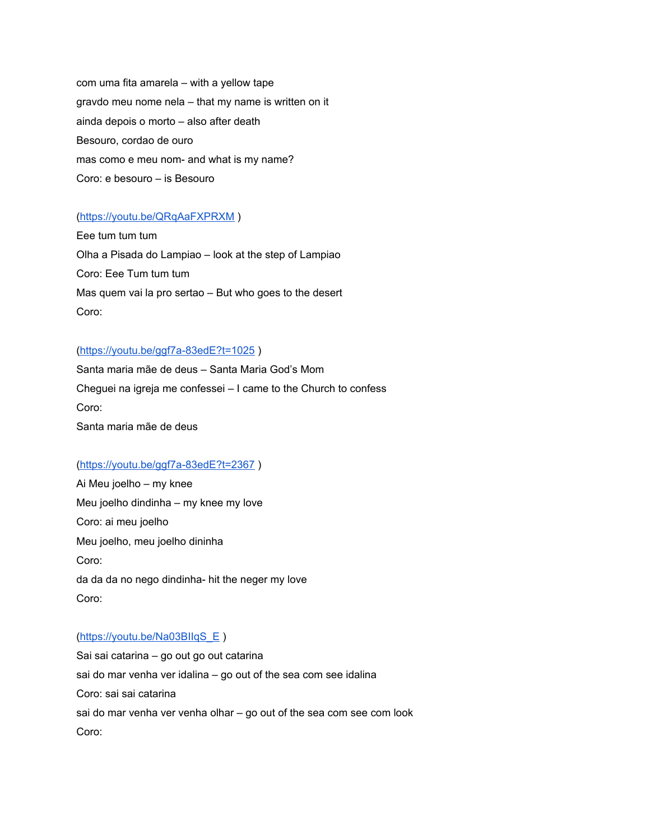com uma fita amarela – with a yellow tape gravdo meu nome nela – that my name is written on it ainda depois o morto – also after death Besouro, cordao de ouro mas como e meu nom- and what is my name? Coro: e besouro – is Besouro

## [\(https://youtu.be/QRqAaFXPRXM](https://youtu.be/QRqAaFXPRXM) )

Eee tum tum tum Olha a Pisada do Lampiao – look at the step of Lampiao Coro: Eee Tum tum tum Mas quem vai la pro sertao – But who goes to the desert Coro:

#### [\(https://youtu.be/ggf7a-83edE?t=1025](https://youtu.be/ggf7a-83edE?t=1025) )

Santa maria mãe de deus – Santa Maria God's Mom Cheguei na igreja me confessei – I came to the Church to confess Coro: Santa maria mãe de deus

#### [\(https://youtu.be/ggf7a-83edE?t=2367](https://youtu.be/ggf7a-83edE?t=2367) )

Ai Meu joelho – my knee Meu joelho dindinha – my knee my love Coro: ai meu joelho Meu joelho, meu joelho dininha Coro: da da da no nego dindinha- hit the neger my love Coro:

### (https://youtu.be/Na03BIIqS E)

Sai sai catarina – go out go out catarina sai do mar venha ver idalina – go out of the sea com see idalina Coro: sai sai catarina sai do mar venha ver venha olhar – go out of the sea com see com look Coro: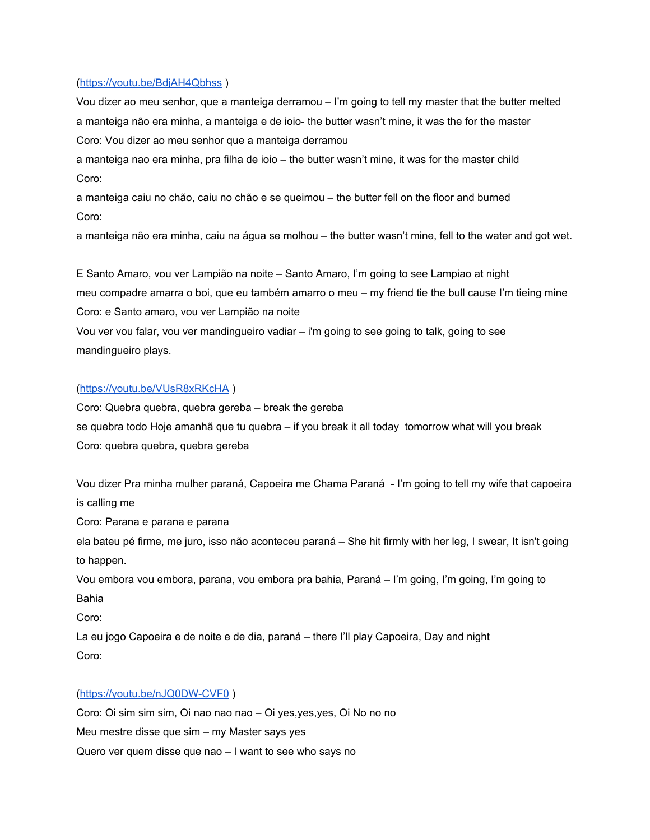#### [\(https://youtu.be/BdjAH4Qbhss](https://youtu.be/BdjAH4Qbhss) )

Vou dizer ao meu senhor, que a manteiga derramou – I'm going to tell my master that the butter melted a manteiga não era minha, a manteiga e de ioio- the butter wasn't mine, it was the for the master Coro: Vou dizer ao meu senhor que a manteiga derramou

a manteiga nao era minha, pra filha de ioio – the butter wasn't mine, it was for the master child Coro:

a manteiga caiu no chão, caiu no chão e se queimou – the butter fell on the floor and burned Coro:

a manteiga não era minha, caiu na água se molhou – the butter wasn't mine, fell to the water and got wet.

E Santo Amaro, vou ver Lampião na noite – Santo Amaro, I'm going to see Lampiao at night meu compadre amarra o boi, que eu também amarro o meu – my friend tie the bull cause I'm tieing mine Coro: e Santo amaro, vou ver Lampião na noite

Vou ver vou falar, vou ver mandingueiro vadiar – i'm going to see going to talk, going to see mandingueiro plays.

### [\(https://youtu.be/VUsR8xRKcHA](https://youtu.be/VUsR8xRKcHA) )

Coro: Quebra quebra, quebra gereba – break the gereba se quebra todo Hoje amanhã que tu quebra – if you break it all today tomorrow what will you break Coro: quebra quebra, quebra gereba

Vou dizer Pra minha mulher paraná, Capoeira me Chama Paraná - I'm going to tell my wife that capoeira is calling me

Coro: Parana e parana e parana

ela bateu pé firme, me juro, isso não aconteceu paraná – She hit firmly with her leg, I swear, It isn't going to happen.

Vou embora vou embora, parana, vou embora pra bahia, Paraná – I'm going, I'm going, I'm going to Bahia

Coro:

La eu jogo Capoeira e de noite e de dia, paraná – there I'll play Capoeira, Day and night Coro:

## [\(https://youtu.be/nJQ0DW-CVF0](https://youtu.be/nJQ0DW-CVF0) )

Coro: Oi sim sim sim, Oi nao nao nao – Oi yes, yes, yes, Oi No no no Meu mestre disse que sim – my Master says yes Quero ver quem disse que nao – I want to see who says no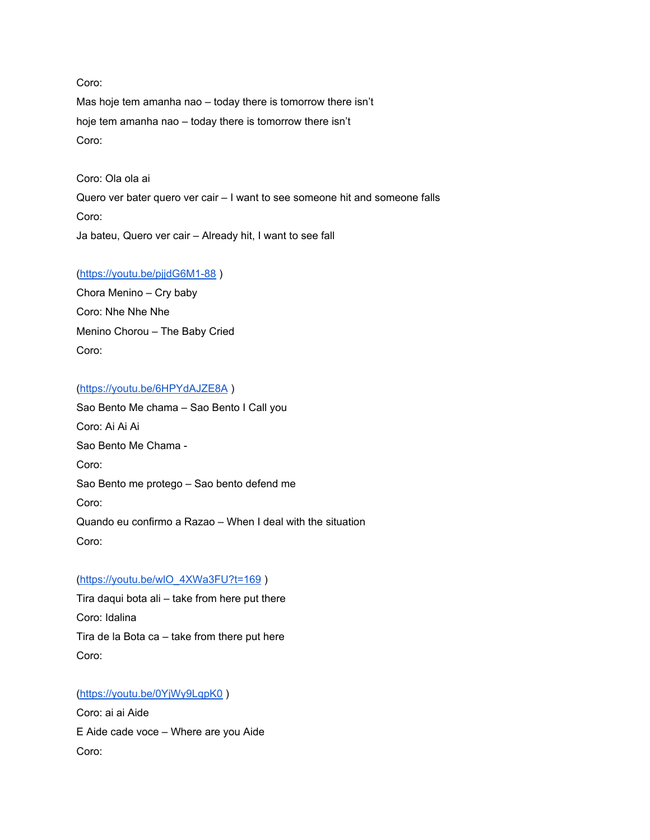## Coro:

Mas hoje tem amanha nao – today there is tomorrow there isn't hoje tem amanha nao – today there is tomorrow there isn't Coro:

Coro: Ola ola ai

Quero ver bater quero ver cair – I want to see someone hit and someone falls Coro: Ja bateu, Quero ver cair – Already hit, I want to see fall

## [\(https://youtu.be/pjjdG6M1-88](https://youtu.be/pjjdG6M1-88) )

Chora Menino – Cry baby Coro: Nhe Nhe Nhe Menino Chorou – The Baby Cried Coro:

## [\(https://youtu.be/6HPYdAJZE8A](https://youtu.be/6HPYdAJZE8A) )

Sao Bento Me chama – Sao Bento I Call you Coro: Ai Ai Ai Sao Bento Me Chama - Coro: Sao Bento me protego – Sao bento defend me Coro: Quando eu confirmo a Razao – When I deal with the situation Coro:

## [\(https://youtu.be/wlO\\_4XWa3FU?t=169](https://youtu.be/wlO_4XWa3FU?t=169) )

Tira daqui bota ali – take from here put there Coro: Idalina Tira de la Bota ca – take from there put here Coro:

# [\(https://youtu.be/0YjWy9LqpK0](https://youtu.be/0YjWy9LqpK0) )

Coro: ai ai Aide E Aide cade voce – Where are you Aide Coro: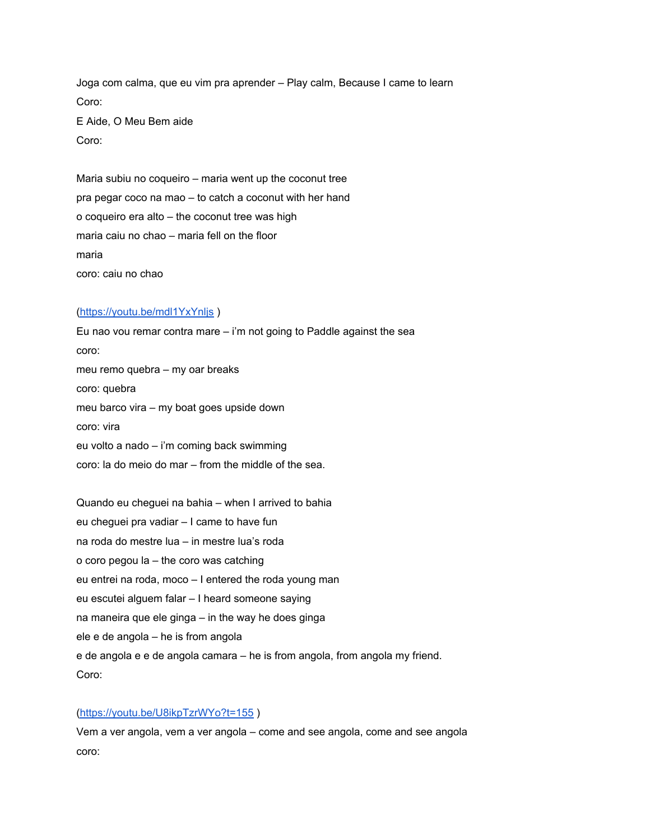Joga com calma, que eu vim pra aprender – Play calm, Because I came to learn Coro: E Aide, O Meu Bem aide Coro:

Maria subiu no coqueiro – maria went up the coconut tree pra pegar coco na mao – to catch a coconut with her hand o coqueiro era alto – the coconut tree was high maria caiu no chao – maria fell on the floor maria coro: caiu no chao

## [\(https://youtu.be/mdl1YxYnljs](https://youtu.be/mdl1YxYnljs) )

Eu nao vou remar contra mare  $-$  i'm not going to Paddle against the sea coro: meu remo quebra – my oar breaks coro: quebra meu barco vira – my boat goes upside down coro: vira eu volto a nado – i'm coming back swimming coro: la do meio do mar – from the middle of the sea.

Quando eu cheguei na bahia – when I arrived to bahia eu cheguei pra vadiar – I came to have fun na roda do mestre lua – in mestre lua's roda o coro pegou la – the coro was catching eu entrei na roda, moco – I entered the roda young man eu escutei alguem falar – I heard someone saying na maneira que ele ginga – in the way he does ginga ele e de angola – he is from angola e de angola e e de angola camara – he is from angola, from angola my friend. Coro:

#### [\(https://youtu.be/U8ikpTzrWYo?t=155](https://youtu.be/U8ikpTzrWYo?t=155) )

Vem a ver angola, vem a ver angola – come and see angola, come and see angola coro: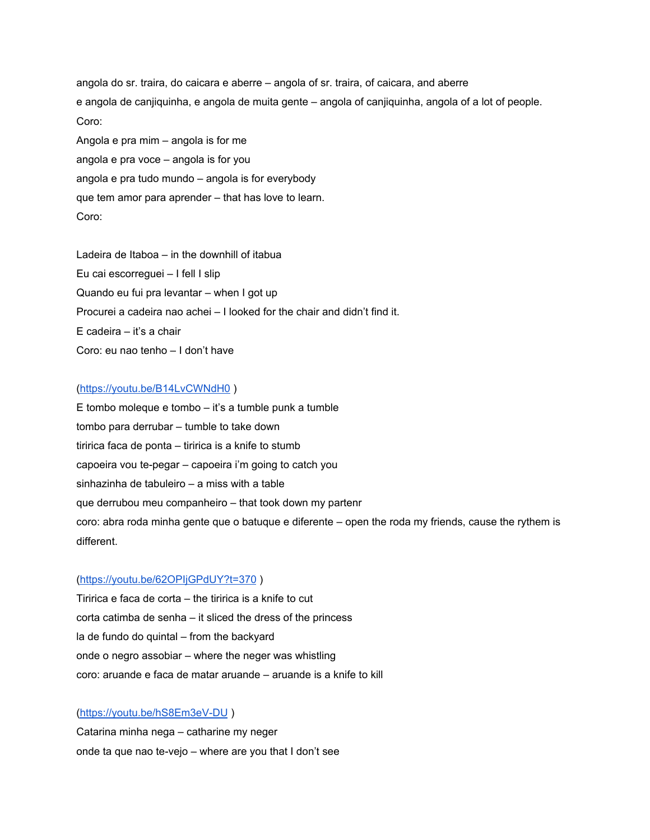angola do sr. traira, do caicara e aberre – angola of sr. traira, of caicara, and aberre e angola de canjiquinha, e angola de muita gente – angola of canjiquinha, angola of a lot of people. Coro: Angola e pra mim – angola is for me

angola e pra voce – angola is for you angola e pra tudo mundo – angola is for everybody que tem amor para aprender – that has love to learn. Coro:

Ladeira de Itaboa – in the downhill of itabua Eu cai escorreguei – I fell I slip Quando eu fui pra levantar – when I got up Procurei a cadeira nao achei – I looked for the chair and didn't find it. E cadeira – it's a chair Coro: eu nao tenho – I don't have

## [\(https://youtu.be/B14LvCWNdH0](https://youtu.be/B14LvCWNdH0) )

E tombo moleque e tombo – it's a tumble punk a tumble tombo para derrubar – tumble to take down tiririca faca de ponta – tiririca is a knife to stumb capoeira vou te-pegar – capoeira i'm going to catch you sinhazinha de tabuleiro – a miss with a table que derrubou meu companheiro – that took down my partenr coro: abra roda minha gente que o batuque e diferente – open the roda my friends, cause the rythem is different.

## [\(https://youtu.be/62OPIjGPdUY?t=370](https://youtu.be/62OPIjGPdUY?t=370) )

Tiririca e faca de corta – the tiririca is a knife to cut corta catimba de senha – it sliced the dress of the princess la de fundo do quintal – from the backyard onde o negro assobiar – where the neger was whistling coro: aruande e faca de matar aruande – aruande is a knife to kill

## [\(https://youtu.be/hS8Em3eV-DU](https://youtu.be/hS8Em3eV-DU) )

Catarina minha nega – catharine my neger onde ta que nao te-vejo – where are you that I don't see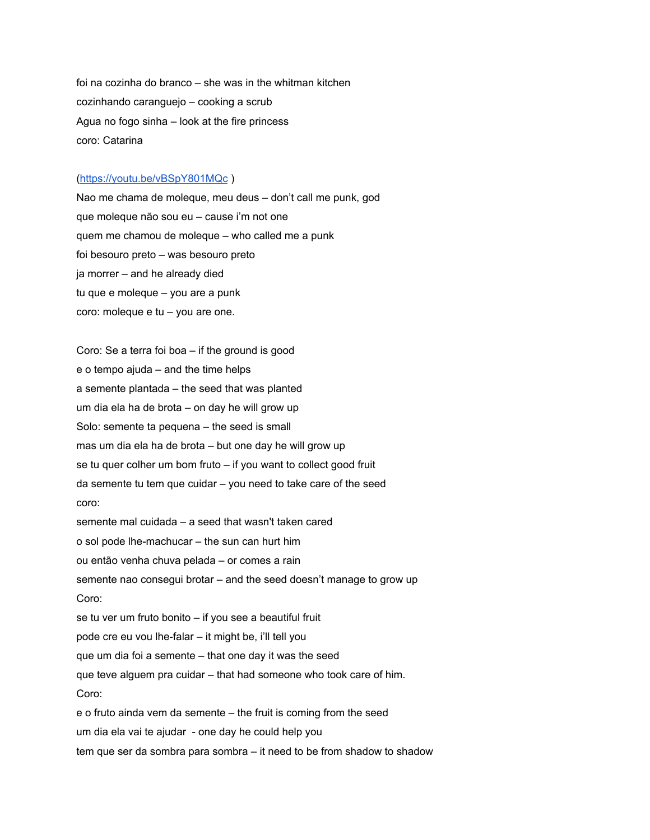foi na cozinha do branco – she was in the whitman kitchen cozinhando caranguejo – cooking a scrub Agua no fogo sinha – look at the fire princess coro: Catarina

#### [\(https://youtu.be/vBSpY801MQc](https://youtu.be/vBSpY801MQc) )

Nao me chama de moleque, meu deus – don't call me punk, god que moleque não sou eu – cause i'm not one quem me chamou de moleque – who called me a punk foi besouro preto – was besouro preto ja morrer – and he already died tu que e moleque – you are a punk coro: moleque e tu – you are one.

Coro: Se a terra foi boa – if the ground is good e o tempo ajuda – and the time helps a semente plantada – the seed that was planted um dia ela ha de brota – on day he will grow up Solo: semente ta pequena – the seed is small mas um dia ela ha de brota – but one day he will grow up se tu quer colher um bom fruto – if you want to collect good fruit da semente tu tem que cuidar – you need to take care of the seed coro: semente mal cuidada – a seed that wasn't taken cared o sol pode lhe-machucar – the sun can hurt him ou então venha chuva pelada – or comes a rain semente nao consegui brotar – and the seed doesn't manage to grow up Coro: se tu ver um fruto bonito – if you see a beautiful fruit pode cre eu vou lhe-falar – it might be, i'll tell you que um dia foi a semente – that one day it was the seed que teve alguem pra cuidar – that had someone who took care of him. Coro: e o fruto ainda vem da semente – the fruit is coming from the seed um dia ela vai te ajudar - one day he could help you tem que ser da sombra para sombra – it need to be from shadow to shadow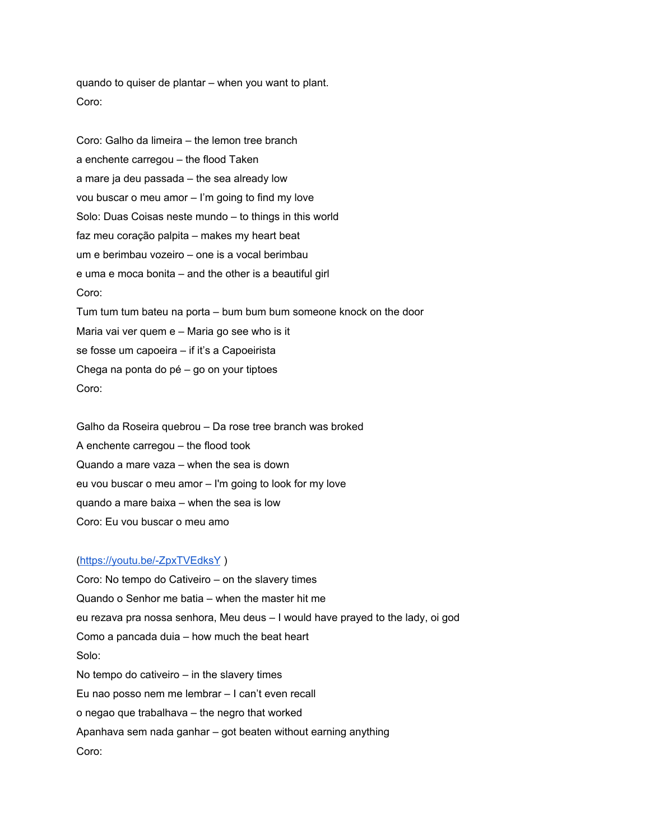quando to quiser de plantar – when you want to plant. Coro:

Coro: Galho da limeira – the lemon tree branch a enchente carregou – the flood Taken a mare ja deu passada – the sea already low vou buscar o meu amor – I'm going to find my love Solo: Duas Coisas neste mundo – to things in this world faz meu coração palpita – makes my heart beat um e berimbau vozeiro – one is a vocal berimbau e uma e moca bonita – and the other is a beautiful girl Coro: Tum tum tum bateu na porta – bum bum bum someone knock on the door Maria vai ver quem e – Maria go see who is it se fosse um capoeira – if it's a Capoeirista Chega na ponta do pé – go on your tiptoes Coro:

Galho da Roseira quebrou – Da rose tree branch was broked A enchente carregou – the flood took Quando a mare vaza – when the sea is down eu vou buscar o meu amor – I'm going to look for my love quando a mare baixa – when the sea is low Coro: Eu vou buscar o meu amo

## [\(https://youtu.be/-ZpxTVEdksY](https://youtu.be/-ZpxTVEdksY) )

Coro: No tempo do Cativeiro – on the slavery times Quando o Senhor me batia – when the master hit me eu rezava pra nossa senhora, Meu deus – I would have prayed to the lady, oi god Como a pancada duia – how much the beat heart Solo: No tempo do cativeiro – in the slavery times Eu nao posso nem me lembrar – I can't even recall o negao que trabalhava – the negro that worked Apanhava sem nada ganhar – got beaten without earning anything Coro: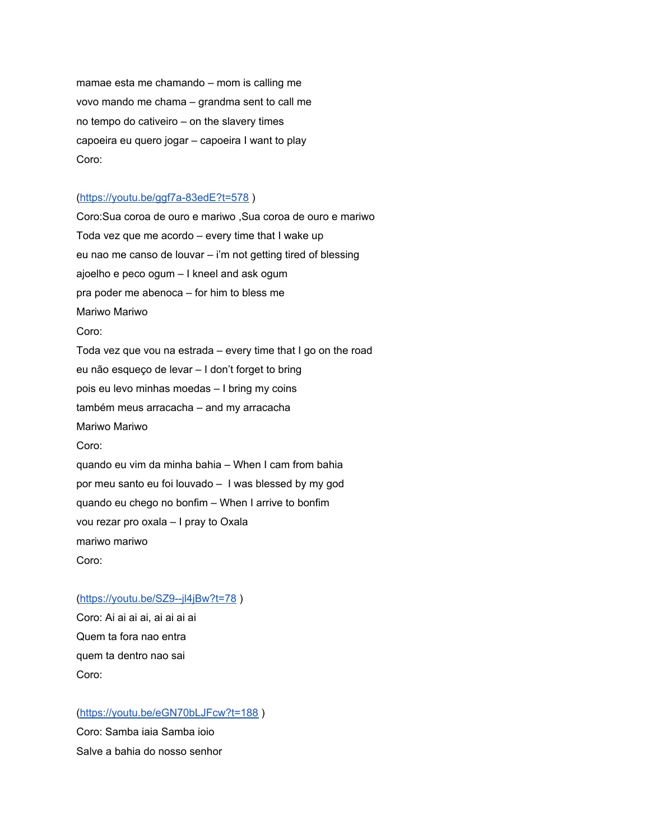mamae esta me chamando – mom is calling me vovo mando me chama – grandma sent to call me no tempo do cativeiro – on the slavery times capoeira eu quero jogar – capoeira I want to play Coro:

## [\(https://youtu.be/ggf7a-83edE?t=578](https://youtu.be/ggf7a-83edE?t=578) )

Coro:Sua coroa de ouro e mariwo ,Sua coroa de ouro e mariwo Toda vez que me acordo – every time that I wake up eu nao me canso de louvar – i'm not getting tired of blessing ajoelho e peco ogum – I kneel and ask ogum pra poder me abenoca – for him to bless me Mariwo Mariwo Coro: Toda vez que vou na estrada – every time that I go on the road eu não esqueço de levar – I don't forget to bring pois eu levo minhas moedas – I bring my coins também meus arracacha – and my arracacha Mariwo Mariwo Coro: quando eu vim da minha bahia – When I cam from bahia por meu santo eu foi louvado – I was blessed by my god quando eu chego no bonfim – When I arrive to bonfim vou rezar pro oxala – I pray to Oxala mariwo mariwo Coro:

#### [\(https://youtu.be/SZ9--jl4jBw?t=78](https://youtu.be/SZ9--jl4jBw?t=78) )

Coro: Ai ai ai ai, ai ai ai ai Quem ta fora nao entra quem ta dentro nao sai Coro:

## [\(https://youtu.be/eGN70bLJFcw?t=188](https://youtu.be/eGN70bLJFcw?t=188) )

Coro: Samba iaia Samba ioio Salve a bahia do nosso senhor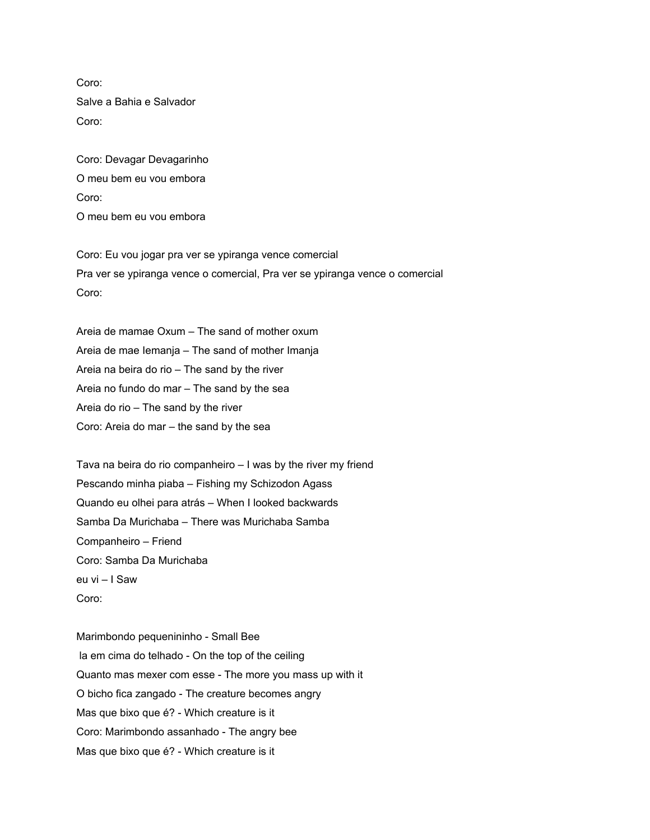Coro: Salve a Bahia e Salvador Coro:

Coro: Devagar Devagarinho O meu bem eu vou embora Coro: O meu bem eu vou embora

Coro: Eu vou jogar pra ver se ypiranga vence comercial Pra ver se ypiranga vence o comercial, Pra ver se ypiranga vence o comercial Coro:

Areia de mamae Oxum – The sand of mother oxum Areia de mae Iemanja – The sand of mother Imanja Areia na beira do rio – The sand by the river Areia no fundo do mar – The sand by the sea Areia do rio – The sand by the river Coro: Areia do mar – the sand by the sea

Tava na beira do rio companheiro – I was by the river my friend Pescando minha piaba – Fishing my Schizodon Agass Quando eu olhei para atrás – When I looked backwards Samba Da Murichaba – There was Murichaba Samba Companheiro – Friend Coro: Samba Da Murichaba eu vi – I Saw Coro:

Marimbondo pequenininho - Small Bee la em cima do telhado - On the top of the ceiling Quanto mas mexer com esse - The more you mass up with it O bicho fica zangado - The creature becomes angry Mas que bixo que é? - Which creature is it Coro: Marimbondo assanhado - The angry bee Mas que bixo que é? - Which creature is it